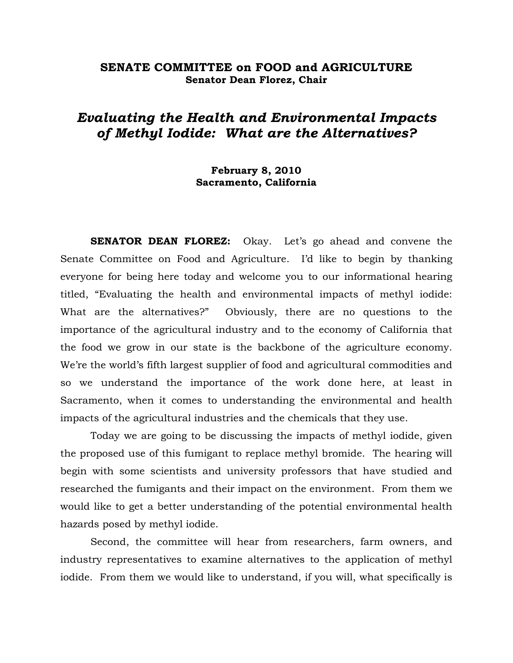# **SENATE COMMITTEE on FOOD and AGRICULTURE Senator Dean Florez, Chair**

# *Evaluating the Health and Environmental Impacts of Methyl Iodide: What are the Alternatives?*

# **February 8, 2010 Sacramento, California**

 **SENATOR DEAN FLOREZ:** Okay. Let's go ahead and convene the Senate Committee on Food and Agriculture. I'd like to begin by thanking everyone for being here today and welcome you to our informational hearing titled, "Evaluating the health and environmental impacts of methyl iodide: What are the alternatives?" Obviously, there are no questions to the importance of the agricultural industry and to the economy of California that the food we grow in our state is the backbone of the agriculture economy. We're the world's fifth largest supplier of food and agricultural commodities and so we understand the importance of the work done here, at least in Sacramento, when it comes to understanding the environmental and health impacts of the agricultural industries and the chemicals that they use.

 Today we are going to be discussing the impacts of methyl iodide, given the proposed use of this fumigant to replace methyl bromide. The hearing will begin with some scientists and university professors that have studied and researched the fumigants and their impact on the environment. From them we would like to get a better understanding of the potential environmental health hazards posed by methyl iodide.

 Second, the committee will hear from researchers, farm owners, and industry representatives to examine alternatives to the application of methyl iodide. From them we would like to understand, if you will, what specifically is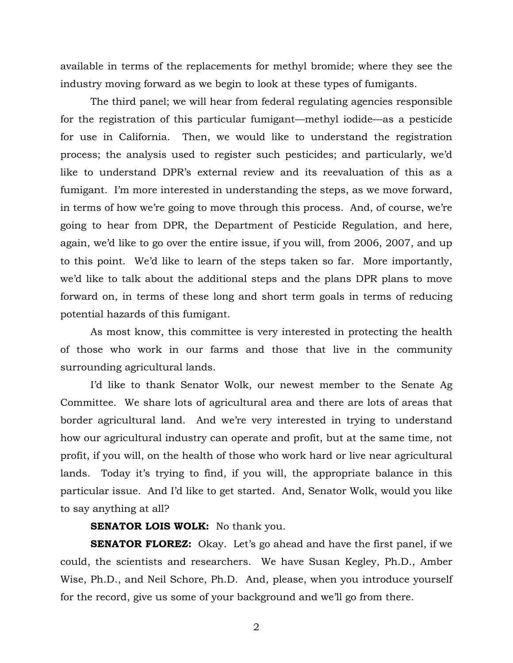available in terms of the replacements for methyl bromide; where they see the industry moving forward as we begin to look at these types of fumigants.

 The third panel; we will hear from federal regulating agencies responsible for the registration of this particular fumigant—methyl iodide—as a pesticide for use in California. Then, we would like to understand the registration process; the analysis used to register such pesticides; and particularly, we'd like to understand DPR's external review and its reevaluation of this as a fumigant. I'm more interested in understanding the steps, as we move forward, in terms of how we're going to move through this process. And, of course, we're going to hear from DPR, the Department of Pesticide Regulation, and here, again, we'd like to go over the entire issue, if you will, from 2006, 2007, and up to this point. We'd like to learn of the steps taken so far. More importantly, we'd like to talk about the additional steps and the plans DPR plans to move forward on, in terms of these long and short term goals in terms of reducing potential hazards of this fumigant.

 As most know, this committee is very interested in protecting the health of those who work in our farms and those that live in the community surrounding agricultural lands.

 I'd like to thank Senator Wolk, our newest member to the Senate Ag Committee. We share lots of agricultural area and there are lots of areas that border agricultural land. And we're very interested in trying to understand how our agricultural industry can operate and profit, but at the same time, not profit, if you will, on the health of those who work hard or live near agricultural lands. Today it's trying to find, if you will, the appropriate balance in this particular issue. And I'd like to get started. And, Senator Wolk, would you like to say anything at all?

#### **SENATOR LOIS WOLK:** No thank you.

**SENATOR FLOREZ:** Okay. Let's go ahead and have the first panel, if we could, the scientists and researchers. We have Susan Kegley, Ph.D., Amber Wise, Ph.D., and Neil Schore, Ph.D. And, please, when you introduce yourself for the record, give us some of your background and we'll go from there.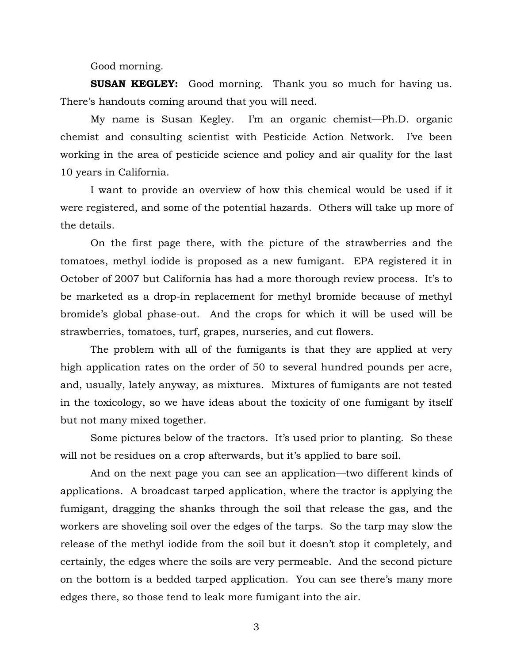Good morning.

**SUSAN KEGLEY:** Good morning. Thank you so much for having us. There's handouts coming around that you will need.

 My name is Susan Kegley. I'm an organic chemist—Ph.D. organic chemist and consulting scientist with Pesticide Action Network. I've been working in the area of pesticide science and policy and air quality for the last 10 years in California.

 I want to provide an overview of how this chemical would be used if it were registered, and some of the potential hazards. Others will take up more of the details.

 On the first page there, with the picture of the strawberries and the tomatoes, methyl iodide is proposed as a new fumigant. EPA registered it in October of 2007 but California has had a more thorough review process. It's to be marketed as a drop-in replacement for methyl bromide because of methyl bromide's global phase-out. And the crops for which it will be used will be strawberries, tomatoes, turf, grapes, nurseries, and cut flowers.

 The problem with all of the fumigants is that they are applied at very high application rates on the order of 50 to several hundred pounds per acre, and, usually, lately anyway, as mixtures. Mixtures of fumigants are not tested in the toxicology, so we have ideas about the toxicity of one fumigant by itself but not many mixed together.

 Some pictures below of the tractors. It's used prior to planting. So these will not be residues on a crop afterwards, but it's applied to bare soil.

 And on the next page you can see an application—two different kinds of applications. A broadcast tarped application, where the tractor is applying the fumigant, dragging the shanks through the soil that release the gas, and the workers are shoveling soil over the edges of the tarps. So the tarp may slow the release of the methyl iodide from the soil but it doesn't stop it completely, and certainly, the edges where the soils are very permeable. And the second picture on the bottom is a bedded tarped application. You can see there's many more edges there, so those tend to leak more fumigant into the air.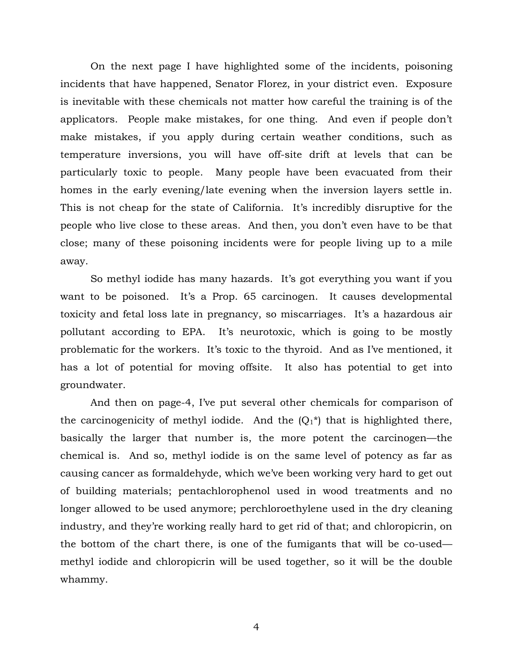On the next page I have highlighted some of the incidents, poisoning incidents that have happened, Senator Florez, in your district even. Exposure is inevitable with these chemicals not matter how careful the training is of the applicators. People make mistakes, for one thing. And even if people don't make mistakes, if you apply during certain weather conditions, such as temperature inversions, you will have off-site drift at levels that can be particularly toxic to people. Many people have been evacuated from their homes in the early evening/late evening when the inversion layers settle in. This is not cheap for the state of California. It's incredibly disruptive for the people who live close to these areas. And then, you don't even have to be that close; many of these poisoning incidents were for people living up to a mile away.

 So methyl iodide has many hazards. It's got everything you want if you want to be poisoned. It's a Prop. 65 carcinogen. It causes developmental toxicity and fetal loss late in pregnancy, so miscarriages. It's a hazardous air pollutant according to EPA. It's neurotoxic, which is going to be mostly problematic for the workers. It's toxic to the thyroid. And as I've mentioned, it has a lot of potential for moving offsite. It also has potential to get into groundwater.

 And then on page-4, I've put several other chemicals for comparison of the carcinogenicity of methyl iodide. And the  $(Q_1^*)$  that is highlighted there, basically the larger that number is, the more potent the carcinogen—the chemical is. And so, methyl iodide is on the same level of potency as far as causing cancer as formaldehyde, which we've been working very hard to get out of building materials; pentachlorophenol used in wood treatments and no longer allowed to be used anymore; perchloroethylene used in the dry cleaning industry, and they're working really hard to get rid of that; and chloropicrin, on the bottom of the chart there, is one of the fumigants that will be co-used methyl iodide and chloropicrin will be used together, so it will be the double whammy.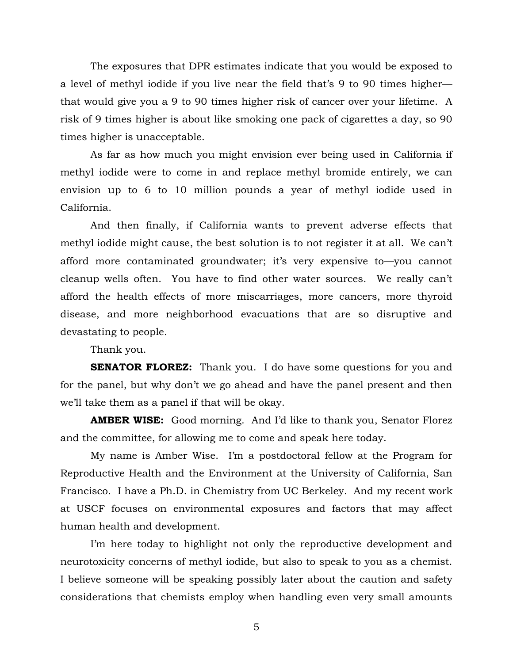The exposures that DPR estimates indicate that you would be exposed to a level of methyl iodide if you live near the field that's 9 to 90 times higher that would give you a 9 to 90 times higher risk of cancer over your lifetime. A risk of 9 times higher is about like smoking one pack of cigarettes a day, so 90 times higher is unacceptable.

 As far as how much you might envision ever being used in California if methyl iodide were to come in and replace methyl bromide entirely, we can envision up to 6 to 10 million pounds a year of methyl iodide used in California.

 And then finally, if California wants to prevent adverse effects that methyl iodide might cause, the best solution is to not register it at all. We can't afford more contaminated groundwater; it's very expensive to—you cannot cleanup wells often. You have to find other water sources. We really can't afford the health effects of more miscarriages, more cancers, more thyroid disease, and more neighborhood evacuations that are so disruptive and devastating to people.

Thank you.

**SENATOR FLOREZ:** Thank you. I do have some questions for you and for the panel, but why don't we go ahead and have the panel present and then we'll take them as a panel if that will be okay.

**AMBER WISE:** Good morning. And I'd like to thank you, Senator Florez and the committee, for allowing me to come and speak here today.

 My name is Amber Wise. I'm a postdoctoral fellow at the Program for Reproductive Health and the Environment at the University of California, San Francisco. I have a Ph.D. in Chemistry from UC Berkeley. And my recent work at USCF focuses on environmental exposures and factors that may affect human health and development.

 I'm here today to highlight not only the reproductive development and neurotoxicity concerns of methyl iodide, but also to speak to you as a chemist. I believe someone will be speaking possibly later about the caution and safety considerations that chemists employ when handling even very small amounts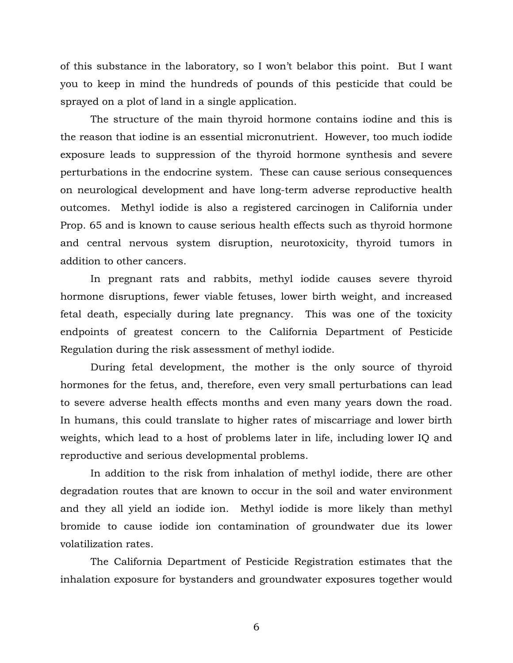of this substance in the laboratory, so I won't belabor this point. But I want you to keep in mind the hundreds of pounds of this pesticide that could be sprayed on a plot of land in a single application.

 The structure of the main thyroid hormone contains iodine and this is the reason that iodine is an essential micronutrient. However, too much iodide exposure leads to suppression of the thyroid hormone synthesis and severe perturbations in the endocrine system. These can cause serious consequences on neurological development and have long-term adverse reproductive health outcomes. Methyl iodide is also a registered carcinogen in California under Prop. 65 and is known to cause serious health effects such as thyroid hormone and central nervous system disruption, neurotoxicity, thyroid tumors in addition to other cancers.

 In pregnant rats and rabbits, methyl iodide causes severe thyroid hormone disruptions, fewer viable fetuses, lower birth weight, and increased fetal death, especially during late pregnancy. This was one of the toxicity endpoints of greatest concern to the California Department of Pesticide Regulation during the risk assessment of methyl iodide.

 During fetal development, the mother is the only source of thyroid hormones for the fetus, and, therefore, even very small perturbations can lead to severe adverse health effects months and even many years down the road. In humans, this could translate to higher rates of miscarriage and lower birth weights, which lead to a host of problems later in life, including lower IQ and reproductive and serious developmental problems.

 In addition to the risk from inhalation of methyl iodide, there are other degradation routes that are known to occur in the soil and water environment and they all yield an iodide ion. Methyl iodide is more likely than methyl bromide to cause iodide ion contamination of groundwater due its lower volatilization rates.

 The California Department of Pesticide Registration estimates that the inhalation exposure for bystanders and groundwater exposures together would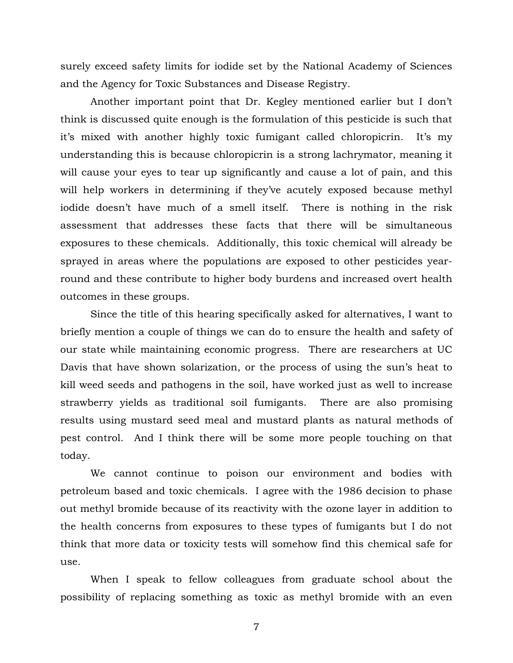surely exceed safety limits for iodide set by the National Academy of Sciences and the Agency for Toxic Substances and Disease Registry.

 Another important point that Dr. Kegley mentioned earlier but I don't think is discussed quite enough is the formulation of this pesticide is such that it's mixed with another highly toxic fumigant called chloropicrin. It's my understanding this is because chloropicrin is a strong lachrymator, meaning it will cause your eyes to tear up significantly and cause a lot of pain, and this will help workers in determining if they've acutely exposed because methyl iodide doesn't have much of a smell itself. There is nothing in the risk assessment that addresses these facts that there will be simultaneous exposures to these chemicals. Additionally, this toxic chemical will already be sprayed in areas where the populations are exposed to other pesticides yearround and these contribute to higher body burdens and increased overt health outcomes in these groups.

 Since the title of this hearing specifically asked for alternatives, I want to briefly mention a couple of things we can do to ensure the health and safety of our state while maintaining economic progress. There are researchers at UC Davis that have shown solarization, or the process of using the sun's heat to kill weed seeds and pathogens in the soil, have worked just as well to increase strawberry yields as traditional soil fumigants. There are also promising results using mustard seed meal and mustard plants as natural methods of pest control. And I think there will be some more people touching on that today.

 We cannot continue to poison our environment and bodies with petroleum based and toxic chemicals. I agree with the 1986 decision to phase out methyl bromide because of its reactivity with the ozone layer in addition to the health concerns from exposures to these types of fumigants but I do not think that more data or toxicity tests will somehow find this chemical safe for use.

 When I speak to fellow colleagues from graduate school about the possibility of replacing something as toxic as methyl bromide with an even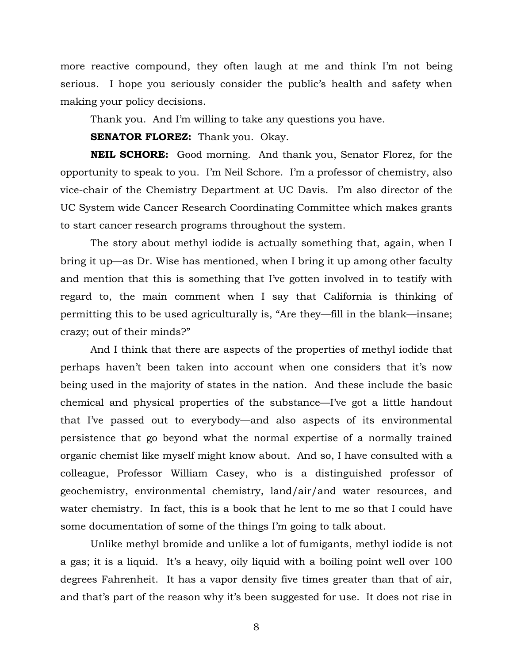more reactive compound, they often laugh at me and think I'm not being serious. I hope you seriously consider the public's health and safety when making your policy decisions.

Thank you. And I'm willing to take any questions you have.

**SENATOR FLOREZ:** Thank you. Okay.

**NEIL SCHORE:** Good morning. And thank you, Senator Florez, for the opportunity to speak to you. I'm Neil Schore. I'm a professor of chemistry, also vice-chair of the Chemistry Department at UC Davis. I'm also director of the UC System wide Cancer Research Coordinating Committee which makes grants to start cancer research programs throughout the system.

 The story about methyl iodide is actually something that, again, when I bring it up—as Dr. Wise has mentioned, when I bring it up among other faculty and mention that this is something that I've gotten involved in to testify with regard to, the main comment when I say that California is thinking of permitting this to be used agriculturally is, "Are they—fill in the blank—insane; crazy; out of their minds?"

And I think that there are aspects of the properties of methyl iodide that perhaps haven't been taken into account when one considers that it's now being used in the majority of states in the nation. And these include the basic chemical and physical properties of the substance—I've got a little handout that I've passed out to everybody—and also aspects of its environmental persistence that go beyond what the normal expertise of a normally trained organic chemist like myself might know about. And so, I have consulted with a colleague, Professor William Casey, who is a distinguished professor of geochemistry, environmental chemistry, land/air/and water resources, and water chemistry. In fact, this is a book that he lent to me so that I could have some documentation of some of the things I'm going to talk about.

Unlike methyl bromide and unlike a lot of fumigants, methyl iodide is not a gas; it is a liquid. It's a heavy, oily liquid with a boiling point well over 100 degrees Fahrenheit. It has a vapor density five times greater than that of air, and that's part of the reason why it's been suggested for use. It does not rise in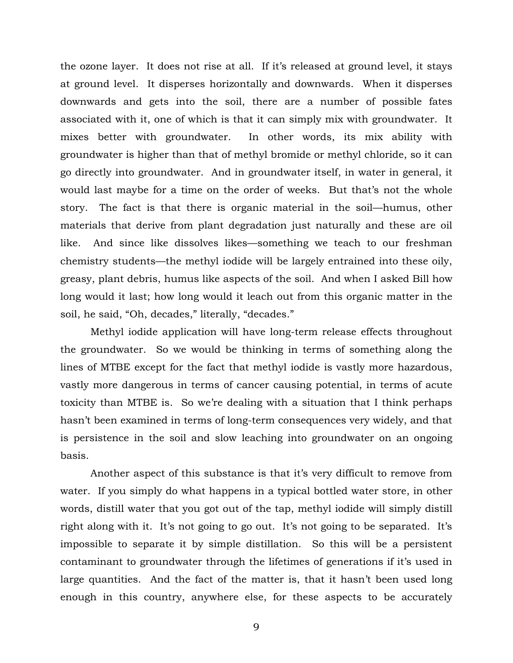the ozone layer. It does not rise at all. If it's released at ground level, it stays at ground level. It disperses horizontally and downwards. When it disperses downwards and gets into the soil, there are a number of possible fates associated with it, one of which is that it can simply mix with groundwater. It mixes better with groundwater. In other words, its mix ability with groundwater is higher than that of methyl bromide or methyl chloride, so it can go directly into groundwater. And in groundwater itself, in water in general, it would last maybe for a time on the order of weeks. But that's not the whole story. The fact is that there is organic material in the soil—humus, other materials that derive from plant degradation just naturally and these are oil like. And since like dissolves likes—something we teach to our freshman chemistry students—the methyl iodide will be largely entrained into these oily, greasy, plant debris, humus like aspects of the soil. And when I asked Bill how long would it last; how long would it leach out from this organic matter in the soil, he said, "Oh, decades," literally, "decades."

Methyl iodide application will have long-term release effects throughout the groundwater. So we would be thinking in terms of something along the lines of MTBE except for the fact that methyl iodide is vastly more hazardous, vastly more dangerous in terms of cancer causing potential, in terms of acute toxicity than MTBE is. So we're dealing with a situation that I think perhaps hasn't been examined in terms of long-term consequences very widely, and that is persistence in the soil and slow leaching into groundwater on an ongoing basis.

Another aspect of this substance is that it's very difficult to remove from water. If you simply do what happens in a typical bottled water store, in other words, distill water that you got out of the tap, methyl iodide will simply distill right along with it. It's not going to go out. It's not going to be separated. It's impossible to separate it by simple distillation. So this will be a persistent contaminant to groundwater through the lifetimes of generations if it's used in large quantities. And the fact of the matter is, that it hasn't been used long enough in this country, anywhere else, for these aspects to be accurately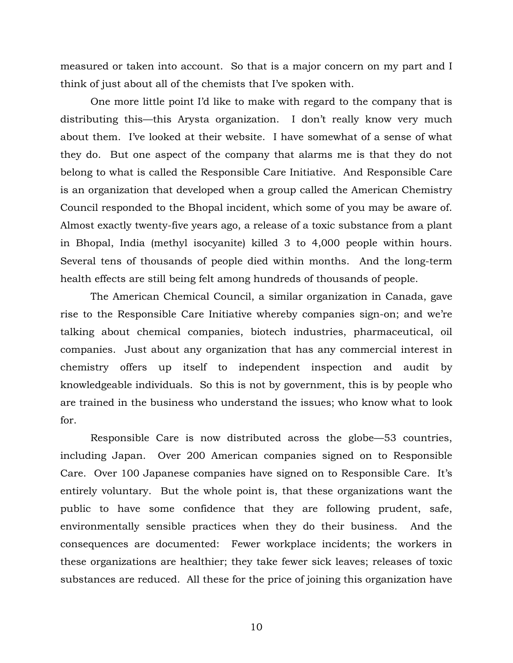measured or taken into account. So that is a major concern on my part and I think of just about all of the chemists that I've spoken with.

One more little point I'd like to make with regard to the company that is distributing this—this Arysta organization. I don't really know very much about them. I've looked at their website. I have somewhat of a sense of what they do. But one aspect of the company that alarms me is that they do not belong to what is called the Responsible Care Initiative. And Responsible Care is an organization that developed when a group called the American Chemistry Council responded to the Bhopal incident, which some of you may be aware of. Almost exactly twenty-five years ago, a release of a toxic substance from a plant in Bhopal, India (methyl isocyanite) killed 3 to 4,000 people within hours. Several tens of thousands of people died within months. And the long-term health effects are still being felt among hundreds of thousands of people.

The American Chemical Council, a similar organization in Canada, gave rise to the Responsible Care Initiative whereby companies sign-on; and we're talking about chemical companies, biotech industries, pharmaceutical, oil companies. Just about any organization that has any commercial interest in chemistry offers up itself to independent inspection and audit by knowledgeable individuals. So this is not by government, this is by people who are trained in the business who understand the issues; who know what to look for.

Responsible Care is now distributed across the globe—53 countries, including Japan. Over 200 American companies signed on to Responsible Care. Over 100 Japanese companies have signed on to Responsible Care. It's entirely voluntary. But the whole point is, that these organizations want the public to have some confidence that they are following prudent, safe, environmentally sensible practices when they do their business. And the consequences are documented: Fewer workplace incidents; the workers in these organizations are healthier; they take fewer sick leaves; releases of toxic substances are reduced. All these for the price of joining this organization have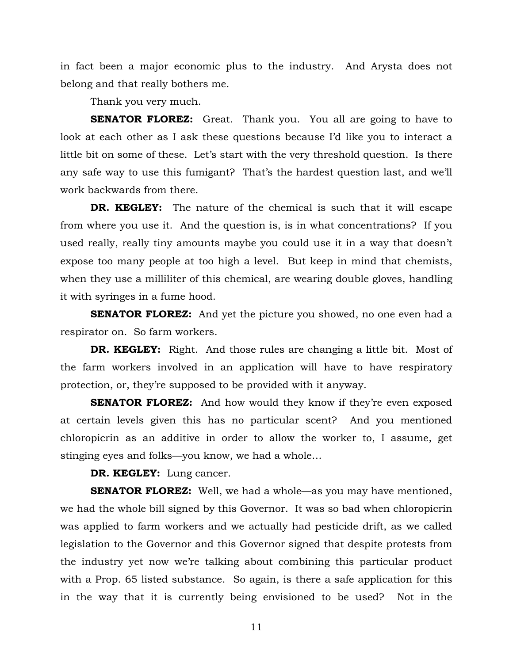in fact been a major economic plus to the industry. And Arysta does not belong and that really bothers me.

Thank you very much.

**SENATOR FLOREZ:** Great. Thank you. You all are going to have to look at each other as I ask these questions because I'd like you to interact a little bit on some of these. Let's start with the very threshold question. Is there any safe way to use this fumigant? That's the hardest question last, and we'll work backwards from there.

**DR. KEGLEY:** The nature of the chemical is such that it will escape from where you use it. And the question is, is in what concentrations? If you used really, really tiny amounts maybe you could use it in a way that doesn't expose too many people at too high a level. But keep in mind that chemists, when they use a milliliter of this chemical, are wearing double gloves, handling it with syringes in a fume hood.

**SENATOR FLOREZ:** And yet the picture you showed, no one even had a respirator on. So farm workers.

**DR. KEGLEY:** Right. And those rules are changing a little bit. Most of the farm workers involved in an application will have to have respiratory protection, or, they're supposed to be provided with it anyway.

**SENATOR FLOREZ:** And how would they know if they're even exposed at certain levels given this has no particular scent? And you mentioned chloropicrin as an additive in order to allow the worker to, I assume, get stinging eyes and folks—you know, we had a whole…

**DR. KEGLEY:** Lung cancer.

**SENATOR FLOREZ:** Well, we had a whole—as you may have mentioned, we had the whole bill signed by this Governor. It was so bad when chloropicrin was applied to farm workers and we actually had pesticide drift, as we called legislation to the Governor and this Governor signed that despite protests from the industry yet now we're talking about combining this particular product with a Prop. 65 listed substance. So again, is there a safe application for this in the way that it is currently being envisioned to be used? Not in the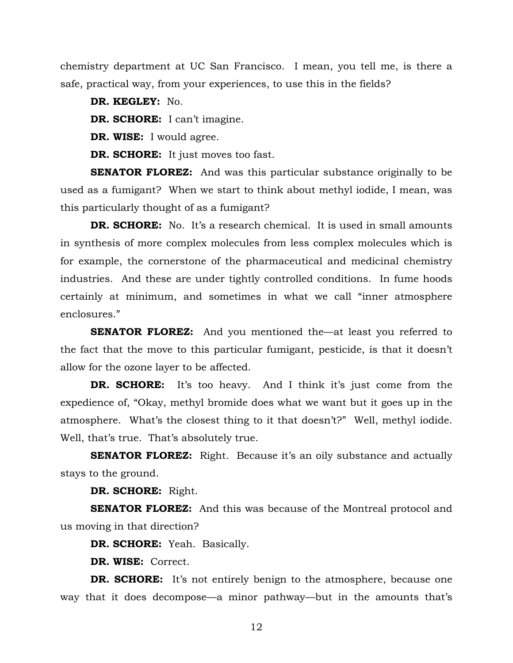chemistry department at UC San Francisco. I mean, you tell me, is there a safe, practical way, from your experiences, to use this in the fields?

**DR. KEGLEY:** No.

**DR. SCHORE:** I can't imagine.

**DR. WISE:** I would agree.

**DR. SCHORE:** It just moves too fast.

**SENATOR FLOREZ:** And was this particular substance originally to be used as a fumigant? When we start to think about methyl iodide, I mean, was this particularly thought of as a fumigant?

**DR. SCHORE:** No. It's a research chemical. It is used in small amounts in synthesis of more complex molecules from less complex molecules which is for example, the cornerstone of the pharmaceutical and medicinal chemistry industries. And these are under tightly controlled conditions. In fume hoods certainly at minimum, and sometimes in what we call "inner atmosphere enclosures."

**SENATOR FLOREZ:** And you mentioned the—at least you referred to the fact that the move to this particular fumigant, pesticide, is that it doesn't allow for the ozone layer to be affected.

**DR. SCHORE:** It's too heavy. And I think it's just come from the expedience of, "Okay, methyl bromide does what we want but it goes up in the atmosphere. What's the closest thing to it that doesn't?" Well, methyl iodide. Well, that's true. That's absolutely true.

**SENATOR FLOREZ:** Right. Because it's an oily substance and actually stays to the ground.

**DR. SCHORE:** Right.

**SENATOR FLOREZ:** And this was because of the Montreal protocol and us moving in that direction?

**DR. SCHORE:** Yeah. Basically.

**DR. WISE:** Correct.

**DR. SCHORE:** It's not entirely benign to the atmosphere, because one way that it does decompose—a minor pathway—but in the amounts that's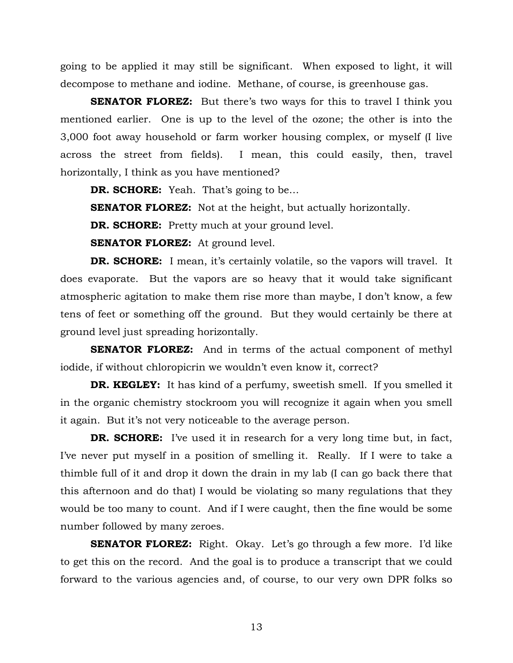going to be applied it may still be significant. When exposed to light, it will decompose to methane and iodine. Methane, of course, is greenhouse gas.

**SENATOR FLOREZ:** But there's two ways for this to travel I think you mentioned earlier. One is up to the level of the ozone; the other is into the 3,000 foot away household or farm worker housing complex, or myself (I live across the street from fields). I mean, this could easily, then, travel horizontally, I think as you have mentioned?

**DR. SCHORE:** Yeah. That's going to be…

**SENATOR FLOREZ:** Not at the height, but actually horizontally.

**DR. SCHORE:** Pretty much at your ground level.

**SENATOR FLOREZ:** At ground level.

**DR. SCHORE:** I mean, it's certainly volatile, so the vapors will travel. It does evaporate. But the vapors are so heavy that it would take significant atmospheric agitation to make them rise more than maybe, I don't know, a few tens of feet or something off the ground. But they would certainly be there at ground level just spreading horizontally.

**SENATOR FLOREZ:** And in terms of the actual component of methyl iodide, if without chloropicrin we wouldn't even know it, correct?

**DR. KEGLEY:** It has kind of a perfumy, sweetish smell. If you smelled it in the organic chemistry stockroom you will recognize it again when you smell it again. But it's not very noticeable to the average person.

**DR. SCHORE:** I've used it in research for a very long time but, in fact, I've never put myself in a position of smelling it. Really. If I were to take a thimble full of it and drop it down the drain in my lab (I can go back there that this afternoon and do that) I would be violating so many regulations that they would be too many to count. And if I were caught, then the fine would be some number followed by many zeroes.

**SENATOR FLOREZ:** Right. Okay. Let's go through a few more. I'd like to get this on the record. And the goal is to produce a transcript that we could forward to the various agencies and, of course, to our very own DPR folks so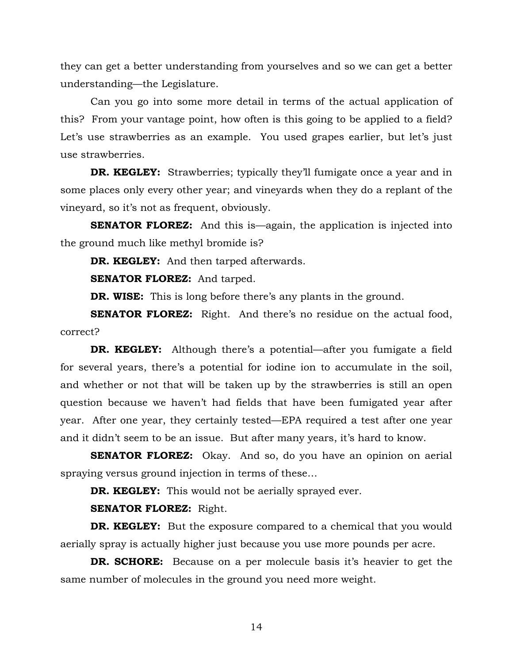they can get a better understanding from yourselves and so we can get a better understanding—the Legislature.

Can you go into some more detail in terms of the actual application of this? From your vantage point, how often is this going to be applied to a field? Let's use strawberries as an example. You used grapes earlier, but let's just use strawberries.

**DR. KEGLEY:** Strawberries; typically they'll fumigate once a year and in some places only every other year; and vineyards when they do a replant of the vineyard, so it's not as frequent, obviously.

**SENATOR FLOREZ:** And this is—again, the application is injected into the ground much like methyl bromide is?

**DR. KEGLEY:** And then tarped afterwards.

**SENATOR FLOREZ:** And tarped.

**DR. WISE:** This is long before there's any plants in the ground.

**SENATOR FLOREZ:** Right. And there's no residue on the actual food, correct?

**DR. KEGLEY:** Although there's a potential—after you fumigate a field for several years, there's a potential for iodine ion to accumulate in the soil, and whether or not that will be taken up by the strawberries is still an open question because we haven't had fields that have been fumigated year after year. After one year, they certainly tested—EPA required a test after one year and it didn't seem to be an issue. But after many years, it's hard to know.

**SENATOR FLOREZ:** Okay. And so, do you have an opinion on aerial spraying versus ground injection in terms of these…

**DR. KEGLEY:** This would not be aerially sprayed ever.

## **SENATOR FLOREZ:** Right.

**DR. KEGLEY:** But the exposure compared to a chemical that you would aerially spray is actually higher just because you use more pounds per acre.

**DR. SCHORE:** Because on a per molecule basis it's heavier to get the same number of molecules in the ground you need more weight.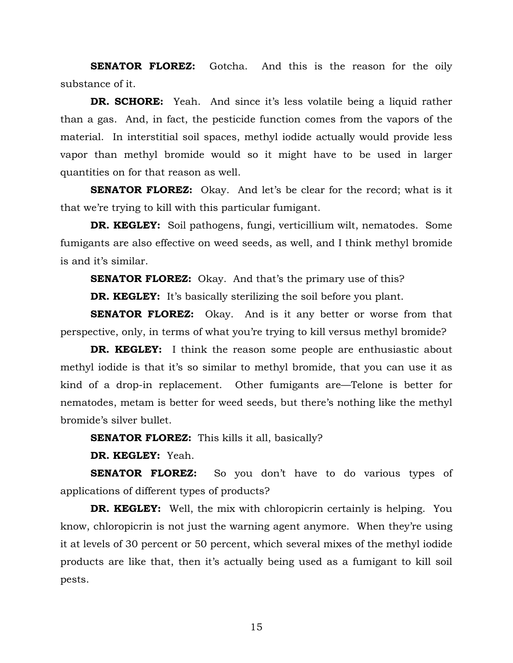**SENATOR FLOREZ:** Gotcha. And this is the reason for the oily substance of it.

**DR. SCHORE:** Yeah. And since it's less volatile being a liquid rather than a gas. And, in fact, the pesticide function comes from the vapors of the material. In interstitial soil spaces, methyl iodide actually would provide less vapor than methyl bromide would so it might have to be used in larger quantities on for that reason as well.

**SENATOR FLOREZ:** Okay. And let's be clear for the record; what is it that we're trying to kill with this particular fumigant.

**DR. KEGLEY:** Soil pathogens, fungi, verticillium wilt, nematodes. Some fumigants are also effective on weed seeds, as well, and I think methyl bromide is and it's similar.

**SENATOR FLOREZ:** Okay. And that's the primary use of this?

**DR. KEGLEY:** It's basically sterilizing the soil before you plant.

**SENATOR FLOREZ:** Okay. And is it any better or worse from that perspective, only, in terms of what you're trying to kill versus methyl bromide?

**DR. KEGLEY:** I think the reason some people are enthusiastic about methyl iodide is that it's so similar to methyl bromide, that you can use it as kind of a drop-in replacement. Other fumigants are—Telone is better for nematodes, metam is better for weed seeds, but there's nothing like the methyl bromide's silver bullet.

**SENATOR FLOREZ:** This kills it all, basically?

 **DR. KEGLEY:** Yeah.

**SENATOR FLOREZ:** So you don't have to do various types of applications of different types of products?

**DR. KEGLEY:** Well, the mix with chloropicrin certainly is helping. You know, chloropicrin is not just the warning agent anymore. When they're using it at levels of 30 percent or 50 percent, which several mixes of the methyl iodide products are like that, then it's actually being used as a fumigant to kill soil pests.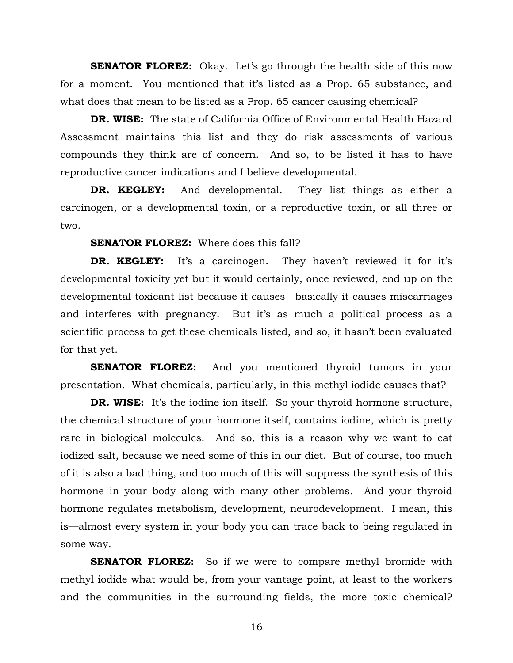**SENATOR FLOREZ:** Okay. Let's go through the health side of this now for a moment. You mentioned that it's listed as a Prop. 65 substance, and what does that mean to be listed as a Prop. 65 cancer causing chemical?

**DR. WISE:** The state of California Office of Environmental Health Hazard Assessment maintains this list and they do risk assessments of various compounds they think are of concern. And so, to be listed it has to have reproductive cancer indications and I believe developmental.

**DR. KEGLEY:** And developmental. They list things as either a carcinogen, or a developmental toxin, or a reproductive toxin, or all three or two.

#### **SENATOR FLOREZ:** Where does this fall?

**DR. KEGLEY:** It's a carcinogen. They haven't reviewed it for it's developmental toxicity yet but it would certainly, once reviewed, end up on the developmental toxicant list because it causes—basically it causes miscarriages and interferes with pregnancy. But it's as much a political process as a scientific process to get these chemicals listed, and so, it hasn't been evaluated for that yet.

**SENATOR FLOREZ:** And you mentioned thyroid tumors in your presentation. What chemicals, particularly, in this methyl iodide causes that?

**DR. WISE:** It's the iodine ion itself. So your thyroid hormone structure, the chemical structure of your hormone itself, contains iodine, which is pretty rare in biological molecules. And so, this is a reason why we want to eat iodized salt, because we need some of this in our diet. But of course, too much of it is also a bad thing, and too much of this will suppress the synthesis of this hormone in your body along with many other problems. And your thyroid hormone regulates metabolism, development, neurodevelopment. I mean, this is—almost every system in your body you can trace back to being regulated in some way.

**SENATOR FLOREZ:** So if we were to compare methyl bromide with methyl iodide what would be, from your vantage point, at least to the workers and the communities in the surrounding fields, the more toxic chemical?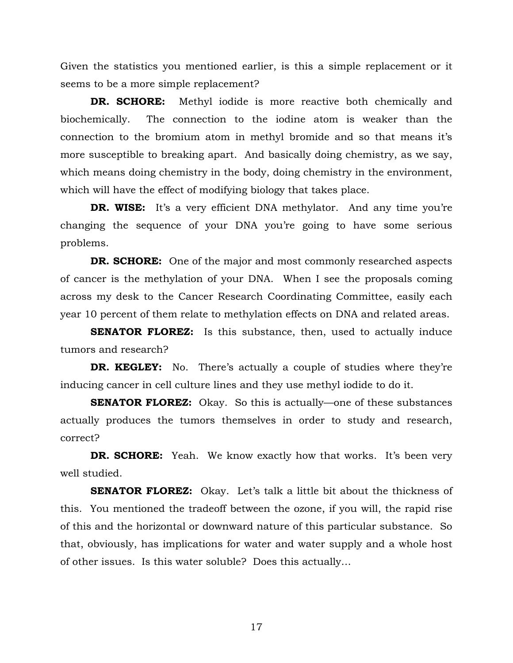Given the statistics you mentioned earlier, is this a simple replacement or it seems to be a more simple replacement?

**DR. SCHORE:** Methyl iodide is more reactive both chemically and biochemically. The connection to the iodine atom is weaker than the connection to the bromium atom in methyl bromide and so that means it's more susceptible to breaking apart. And basically doing chemistry, as we say, which means doing chemistry in the body, doing chemistry in the environment, which will have the effect of modifying biology that takes place.

**DR. WISE:** It's a very efficient DNA methylator. And any time you're changing the sequence of your DNA you're going to have some serious problems.

**DR. SCHORE:** One of the major and most commonly researched aspects of cancer is the methylation of your DNA. When I see the proposals coming across my desk to the Cancer Research Coordinating Committee, easily each year 10 percent of them relate to methylation effects on DNA and related areas.

**SENATOR FLOREZ:** Is this substance, then, used to actually induce tumors and research?

**DR. KEGLEY:** No. There's actually a couple of studies where they're inducing cancer in cell culture lines and they use methyl iodide to do it.

**SENATOR FLOREZ:** Okay. So this is actually—one of these substances actually produces the tumors themselves in order to study and research, correct?

**DR. SCHORE:** Yeah. We know exactly how that works. It's been very well studied.

**SENATOR FLOREZ:** Okay. Let's talk a little bit about the thickness of this. You mentioned the tradeoff between the ozone, if you will, the rapid rise of this and the horizontal or downward nature of this particular substance. So that, obviously, has implications for water and water supply and a whole host of other issues. Is this water soluble? Does this actually…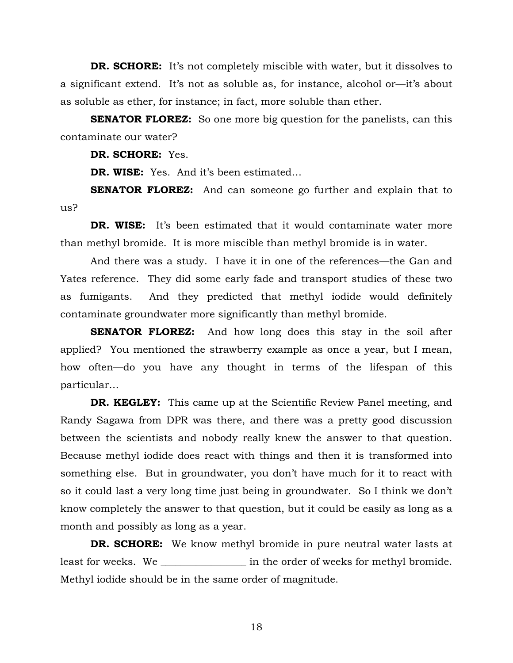**DR. SCHORE:** It's not completely miscible with water, but it dissolves to a significant extend. It's not as soluble as, for instance, alcohol or—it's about as soluble as ether, for instance; in fact, more soluble than ether.

**SENATOR FLOREZ:** So one more big question for the panelists, can this contaminate our water?

**DR. SCHORE:** Yes.

**DR. WISE:** Yes. And it's been estimated…

**SENATOR FLOREZ:** And can someone go further and explain that to us?

**DR. WISE:** It's been estimated that it would contaminate water more than methyl bromide. It is more miscible than methyl bromide is in water.

 And there was a study. I have it in one of the references—the Gan and Yates reference. They did some early fade and transport studies of these two as fumigants. And they predicted that methyl iodide would definitely contaminate groundwater more significantly than methyl bromide.

**SENATOR FLOREZ:** And how long does this stay in the soil after applied? You mentioned the strawberry example as once a year, but I mean, how often—do you have any thought in terms of the lifespan of this particular…

**DR. KEGLEY:** This came up at the Scientific Review Panel meeting, and Randy Sagawa from DPR was there, and there was a pretty good discussion between the scientists and nobody really knew the answer to that question. Because methyl iodide does react with things and then it is transformed into something else. But in groundwater, you don't have much for it to react with so it could last a very long time just being in groundwater. So I think we don't know completely the answer to that question, but it could be easily as long as a month and possibly as long as a year.

 **DR. SCHORE:** We know methyl bromide in pure neutral water lasts at least for weeks. We \_\_\_\_\_\_\_\_\_\_\_\_\_\_\_\_\_\_\_\_ in the order of weeks for methyl bromide. Methyl iodide should be in the same order of magnitude.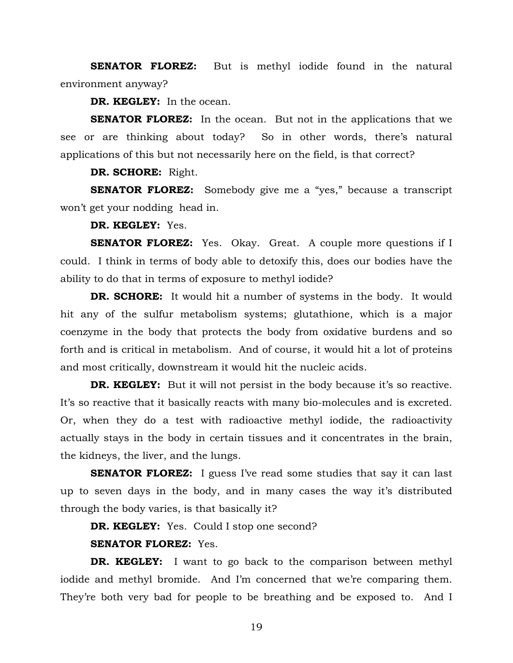**SENATOR FLOREZ:** But is methyl iodide found in the natural environment anyway?

**DR. KEGLEY:** In the ocean.

**SENATOR FLOREZ:** In the ocean. But not in the applications that we see or are thinking about today? So in other words, there's natural applications of this but not necessarily here on the field, is that correct?

**DR. SCHORE:** Right.

**SENATOR FLOREZ:** Somebody give me a "yes," because a transcript won't get your nodding head in.

**DR. KEGLEY:** Yes.

**SENATOR FLOREZ:** Yes. Okay. Great. A couple more questions if I could. I think in terms of body able to detoxify this, does our bodies have the ability to do that in terms of exposure to methyl iodide?

**DR. SCHORE:** It would hit a number of systems in the body. It would hit any of the sulfur metabolism systems; glutathione, which is a major coenzyme in the body that protects the body from oxidative burdens and so forth and is critical in metabolism. And of course, it would hit a lot of proteins and most critically, downstream it would hit the nucleic acids.

**DR. KEGLEY:** But it will not persist in the body because it's so reactive. It's so reactive that it basically reacts with many bio-molecules and is excreted. Or, when they do a test with radioactive methyl iodide, the radioactivity actually stays in the body in certain tissues and it concentrates in the brain, the kidneys, the liver, and the lungs.

**SENATOR FLOREZ:** I guess I've read some studies that say it can last up to seven days in the body, and in many cases the way it's distributed through the body varies, is that basically it?

**DR. KEGLEY:** Yes. Could I stop one second?

## **SENATOR FLOREZ:** Yes.

**DR. KEGLEY:** I want to go back to the comparison between methyl iodide and methyl bromide. And I'm concerned that we're comparing them. They're both very bad for people to be breathing and be exposed to. And I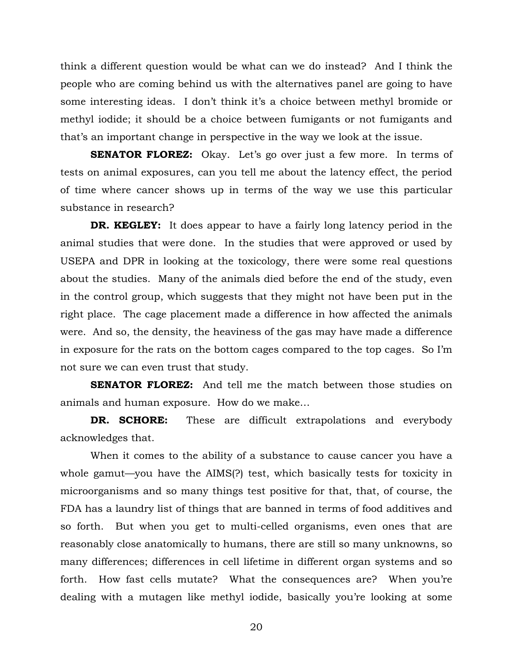think a different question would be what can we do instead? And I think the people who are coming behind us with the alternatives panel are going to have some interesting ideas. I don't think it's a choice between methyl bromide or methyl iodide; it should be a choice between fumigants or not fumigants and that's an important change in perspective in the way we look at the issue.

**SENATOR FLOREZ:** Okay. Let's go over just a few more. In terms of tests on animal exposures, can you tell me about the latency effect, the period of time where cancer shows up in terms of the way we use this particular substance in research?

**DR. KEGLEY:** It does appear to have a fairly long latency period in the animal studies that were done. In the studies that were approved or used by USEPA and DPR in looking at the toxicology, there were some real questions about the studies. Many of the animals died before the end of the study, even in the control group, which suggests that they might not have been put in the right place. The cage placement made a difference in how affected the animals were. And so, the density, the heaviness of the gas may have made a difference in exposure for the rats on the bottom cages compared to the top cages. So I'm not sure we can even trust that study.

**SENATOR FLOREZ:** And tell me the match between those studies on animals and human exposure. How do we make…

**DR. SCHORE:** These are difficult extrapolations and everybody acknowledges that.

When it comes to the ability of a substance to cause cancer you have a whole gamut—you have the AIMS(?) test, which basically tests for toxicity in microorganisms and so many things test positive for that, that, of course, the FDA has a laundry list of things that are banned in terms of food additives and so forth. But when you get to multi-celled organisms, even ones that are reasonably close anatomically to humans, there are still so many unknowns, so many differences; differences in cell lifetime in different organ systems and so forth. How fast cells mutate? What the consequences are? When you're dealing with a mutagen like methyl iodide, basically you're looking at some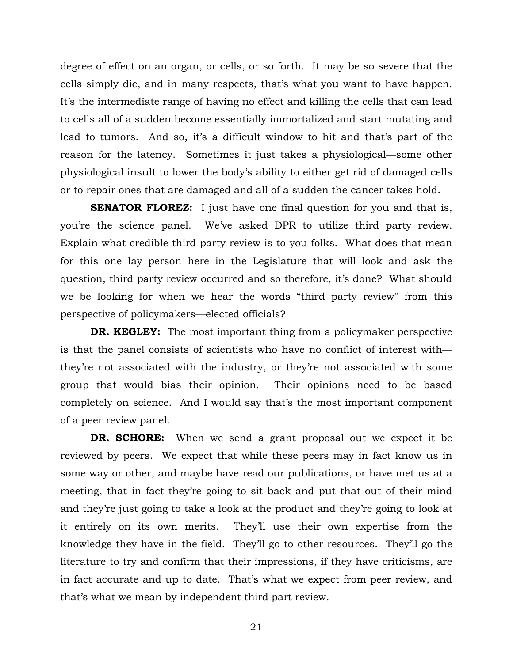degree of effect on an organ, or cells, or so forth. It may be so severe that the cells simply die, and in many respects, that's what you want to have happen. It's the intermediate range of having no effect and killing the cells that can lead to cells all of a sudden become essentially immortalized and start mutating and lead to tumors. And so, it's a difficult window to hit and that's part of the reason for the latency. Sometimes it just takes a physiological—some other physiological insult to lower the body's ability to either get rid of damaged cells or to repair ones that are damaged and all of a sudden the cancer takes hold.

**SENATOR FLOREZ:** I just have one final question for you and that is, you're the science panel. We've asked DPR to utilize third party review. Explain what credible third party review is to you folks. What does that mean for this one lay person here in the Legislature that will look and ask the question, third party review occurred and so therefore, it's done? What should we be looking for when we hear the words "third party review" from this perspective of policymakers—elected officials?

**DR. KEGLEY:** The most important thing from a policymaker perspective is that the panel consists of scientists who have no conflict of interest with they're not associated with the industry, or they're not associated with some group that would bias their opinion. Their opinions need to be based completely on science. And I would say that's the most important component of a peer review panel.

**DR. SCHORE:** When we send a grant proposal out we expect it be reviewed by peers. We expect that while these peers may in fact know us in some way or other, and maybe have read our publications, or have met us at a meeting, that in fact they're going to sit back and put that out of their mind and they're just going to take a look at the product and they're going to look at it entirely on its own merits. They'll use their own expertise from the knowledge they have in the field. They'll go to other resources. They'll go the literature to try and confirm that their impressions, if they have criticisms, are in fact accurate and up to date. That's what we expect from peer review, and that's what we mean by independent third part review.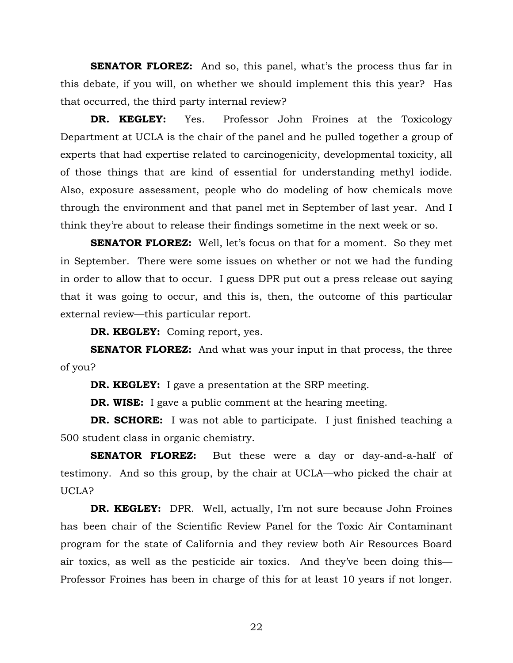**SENATOR FLOREZ:** And so, this panel, what's the process thus far in this debate, if you will, on whether we should implement this this year? Has that occurred, the third party internal review?

**DR. KEGLEY:** Yes. Professor John Froines at the Toxicology Department at UCLA is the chair of the panel and he pulled together a group of experts that had expertise related to carcinogenicity, developmental toxicity, all of those things that are kind of essential for understanding methyl iodide. Also, exposure assessment, people who do modeling of how chemicals move through the environment and that panel met in September of last year. And I think they're about to release their findings sometime in the next week or so.

**SENATOR FLOREZ:** Well, let's focus on that for a moment. So they met in September. There were some issues on whether or not we had the funding in order to allow that to occur. I guess DPR put out a press release out saying that it was going to occur, and this is, then, the outcome of this particular external review—this particular report.

**DR. KEGLEY:** Coming report, yes.

**SENATOR FLOREZ:** And what was your input in that process, the three of you?

**DR. KEGLEY:** I gave a presentation at the SRP meeting.

**DR. WISE:** I gave a public comment at the hearing meeting.

**DR. SCHORE:** I was not able to participate. I just finished teaching a 500 student class in organic chemistry.

**SENATOR FLOREZ:** But these were a day or day-and-a-half of testimony. And so this group, by the chair at UCLA—who picked the chair at UCLA?

**DR. KEGLEY:** DPR. Well, actually, I'm not sure because John Froines has been chair of the Scientific Review Panel for the Toxic Air Contaminant program for the state of California and they review both Air Resources Board air toxics, as well as the pesticide air toxics. And they've been doing this— Professor Froines has been in charge of this for at least 10 years if not longer.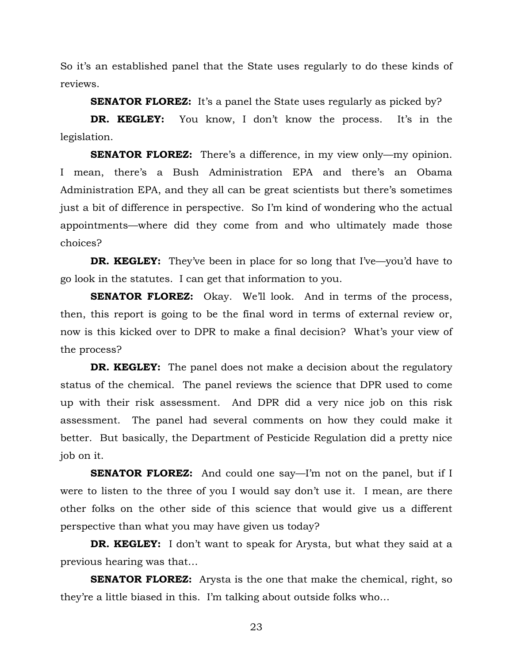So it's an established panel that the State uses regularly to do these kinds of reviews.

**SENATOR FLOREZ:** It's a panel the State uses regularly as picked by?

**DR. KEGLEY:** You know, I don't know the process. It's in the legislation.

**SENATOR FLOREZ:** There's a difference, in my view only—my opinion. I mean, there's a Bush Administration EPA and there's an Obama Administration EPA, and they all can be great scientists but there's sometimes just a bit of difference in perspective. So I'm kind of wondering who the actual appointments—where did they come from and who ultimately made those choices?

**DR. KEGLEY:** They've been in place for so long that I've—you'd have to go look in the statutes. I can get that information to you.

**SENATOR FLOREZ:** Okay. We'll look. And in terms of the process, then, this report is going to be the final word in terms of external review or, now is this kicked over to DPR to make a final decision? What's your view of the process?

**DR. KEGLEY:** The panel does not make a decision about the regulatory status of the chemical. The panel reviews the science that DPR used to come up with their risk assessment. And DPR did a very nice job on this risk assessment. The panel had several comments on how they could make it better. But basically, the Department of Pesticide Regulation did a pretty nice job on it.

**SENATOR FLOREZ:** And could one say—I'm not on the panel, but if I were to listen to the three of you I would say don't use it. I mean, are there other folks on the other side of this science that would give us a different perspective than what you may have given us today?

**DR. KEGLEY:** I don't want to speak for Arysta, but what they said at a previous hearing was that…

**SENATOR FLOREZ:** Arysta is the one that make the chemical, right, so they're a little biased in this. I'm talking about outside folks who…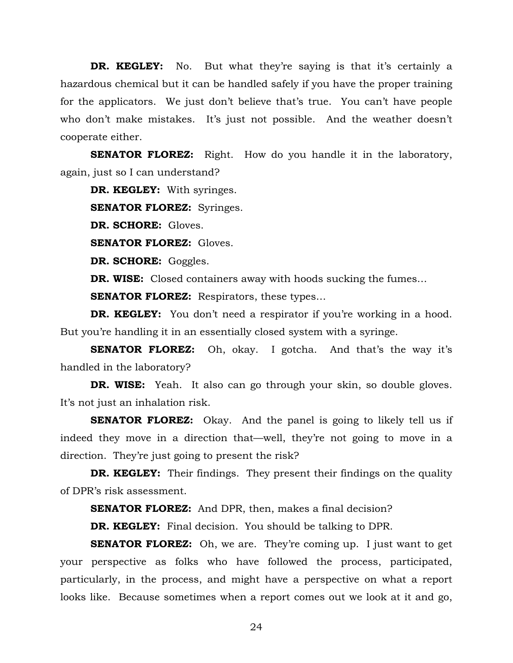**DR. KEGLEY:** No. But what they're saying is that it's certainly a hazardous chemical but it can be handled safely if you have the proper training for the applicators. We just don't believe that's true. You can't have people who don't make mistakes. It's just not possible. And the weather doesn't cooperate either.

**SENATOR FLOREZ:** Right. How do you handle it in the laboratory, again, just so I can understand?

**DR. KEGLEY:** With syringes.

**SENATOR FLOREZ:** Syringes.

**DR. SCHORE:** Gloves.

**SENATOR FLOREZ:** Gloves.

**DR. SCHORE:** Goggles.

**DR. WISE:** Closed containers away with hoods sucking the fumes...

**SENATOR FLOREZ:** Respirators, these types...

**DR. KEGLEY:** You don't need a respirator if you're working in a hood. But you're handling it in an essentially closed system with a syringe.

**SENATOR FLOREZ:** Oh, okay. I gotcha. And that's the way it's handled in the laboratory?

**DR. WISE:** Yeah. It also can go through your skin, so double gloves. It's not just an inhalation risk.

**SENATOR FLOREZ:** Okay. And the panel is going to likely tell us if indeed they move in a direction that—well, they're not going to move in a direction. They're just going to present the risk?

**DR. KEGLEY:** Their findings. They present their findings on the quality of DPR's risk assessment.

**SENATOR FLOREZ:** And DPR, then, makes a final decision?

**DR. KEGLEY:** Final decision. You should be talking to DPR.

**SENATOR FLOREZ:** Oh, we are. They're coming up. I just want to get your perspective as folks who have followed the process, participated, particularly, in the process, and might have a perspective on what a report looks like. Because sometimes when a report comes out we look at it and go,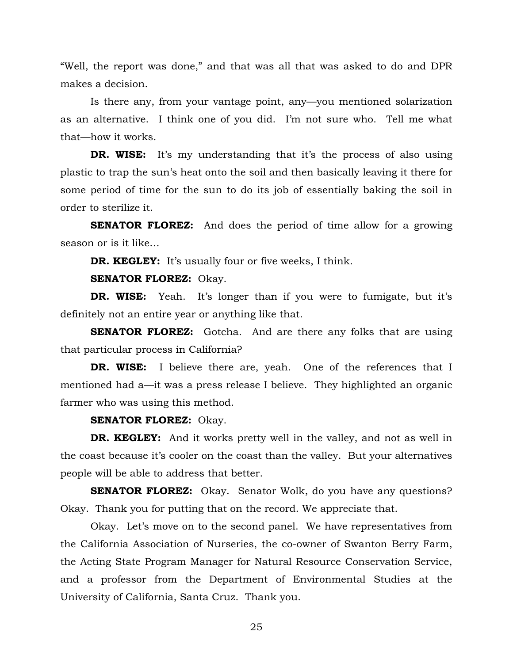"Well, the report was done," and that was all that was asked to do and DPR makes a decision.

Is there any, from your vantage point, any—you mentioned solarization as an alternative. I think one of you did. I'm not sure who. Tell me what that—how it works.

**DR. WISE:** It's my understanding that it's the process of also using plastic to trap the sun's heat onto the soil and then basically leaving it there for some period of time for the sun to do its job of essentially baking the soil in order to sterilize it.

**SENATOR FLOREZ:** And does the period of time allow for a growing season or is it like…

**DR. KEGLEY:** It's usually four or five weeks, I think.

**SENATOR FLOREZ:** Okay.

**DR. WISE:** Yeah. It's longer than if you were to fumigate, but it's definitely not an entire year or anything like that.

**SENATOR FLOREZ:** Gotcha. And are there any folks that are using that particular process in California?

**DR. WISE:** I believe there are, yeah. One of the references that I mentioned had a—it was a press release I believe. They highlighted an organic farmer who was using this method.

#### **SENATOR FLOREZ:** Okay.

**DR. KEGLEY:** And it works pretty well in the valley, and not as well in the coast because it's cooler on the coast than the valley. But your alternatives people will be able to address that better.

**SENATOR FLOREZ:** Okay. Senator Wolk, do you have any questions? Okay. Thank you for putting that on the record. We appreciate that.

Okay. Let's move on to the second panel. We have representatives from the California Association of Nurseries, the co-owner of Swanton Berry Farm, the Acting State Program Manager for Natural Resource Conservation Service, and a professor from the Department of Environmental Studies at the University of California, Santa Cruz. Thank you.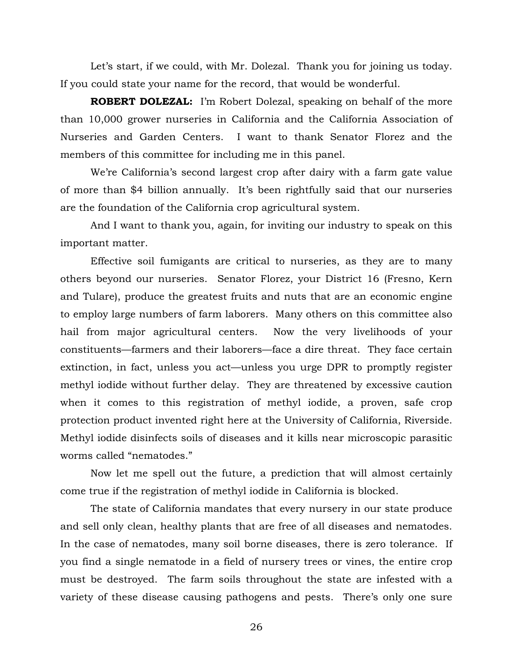Let's start, if we could, with Mr. Dolezal. Thank you for joining us today. If you could state your name for the record, that would be wonderful.

**ROBERT DOLEZAL:** I'm Robert Dolezal, speaking on behalf of the more than 10,000 grower nurseries in California and the California Association of Nurseries and Garden Centers. I want to thank Senator Florez and the members of this committee for including me in this panel.

We're California's second largest crop after dairy with a farm gate value of more than \$4 billion annually. It's been rightfully said that our nurseries are the foundation of the California crop agricultural system.

And I want to thank you, again, for inviting our industry to speak on this important matter.

Effective soil fumigants are critical to nurseries, as they are to many others beyond our nurseries. Senator Florez, your District 16 (Fresno, Kern and Tulare), produce the greatest fruits and nuts that are an economic engine to employ large numbers of farm laborers. Many others on this committee also hail from major agricultural centers. Now the very livelihoods of your constituents—farmers and their laborers—face a dire threat. They face certain extinction, in fact, unless you act—unless you urge DPR to promptly register methyl iodide without further delay. They are threatened by excessive caution when it comes to this registration of methyl iodide, a proven, safe crop protection product invented right here at the University of California, Riverside. Methyl iodide disinfects soils of diseases and it kills near microscopic parasitic worms called "nematodes."

Now let me spell out the future, a prediction that will almost certainly come true if the registration of methyl iodide in California is blocked.

The state of California mandates that every nursery in our state produce and sell only clean, healthy plants that are free of all diseases and nematodes. In the case of nematodes, many soil borne diseases, there is zero tolerance. If you find a single nematode in a field of nursery trees or vines, the entire crop must be destroyed. The farm soils throughout the state are infested with a variety of these disease causing pathogens and pests. There's only one sure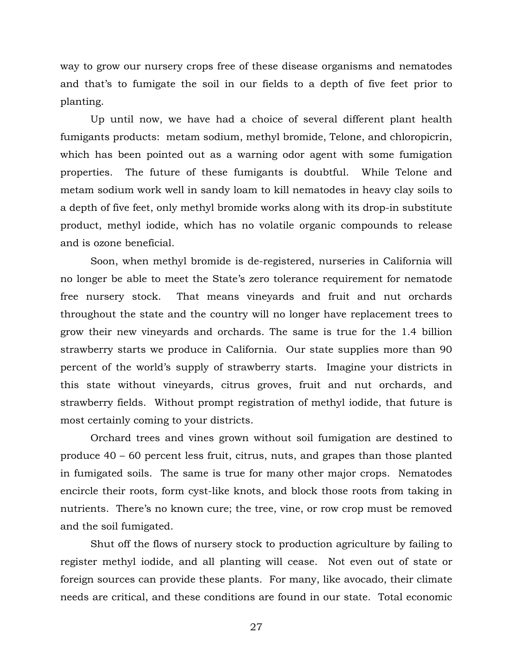way to grow our nursery crops free of these disease organisms and nematodes and that's to fumigate the soil in our fields to a depth of five feet prior to planting.

Up until now, we have had a choice of several different plant health fumigants products: metam sodium, methyl bromide, Telone, and chloropicrin, which has been pointed out as a warning odor agent with some fumigation properties. The future of these fumigants is doubtful. While Telone and metam sodium work well in sandy loam to kill nematodes in heavy clay soils to a depth of five feet, only methyl bromide works along with its drop-in substitute product, methyl iodide, which has no volatile organic compounds to release and is ozone beneficial.

Soon, when methyl bromide is de-registered, nurseries in California will no longer be able to meet the State's zero tolerance requirement for nematode free nursery stock. That means vineyards and fruit and nut orchards throughout the state and the country will no longer have replacement trees to grow their new vineyards and orchards. The same is true for the 1.4 billion strawberry starts we produce in California. Our state supplies more than 90 percent of the world's supply of strawberry starts. Imagine your districts in this state without vineyards, citrus groves, fruit and nut orchards, and strawberry fields. Without prompt registration of methyl iodide, that future is most certainly coming to your districts.

Orchard trees and vines grown without soil fumigation are destined to produce 40 – 60 percent less fruit, citrus, nuts, and grapes than those planted in fumigated soils. The same is true for many other major crops. Nematodes encircle their roots, form cyst-like knots, and block those roots from taking in nutrients. There's no known cure; the tree, vine, or row crop must be removed and the soil fumigated.

Shut off the flows of nursery stock to production agriculture by failing to register methyl iodide, and all planting will cease. Not even out of state or foreign sources can provide these plants. For many, like avocado, their climate needs are critical, and these conditions are found in our state. Total economic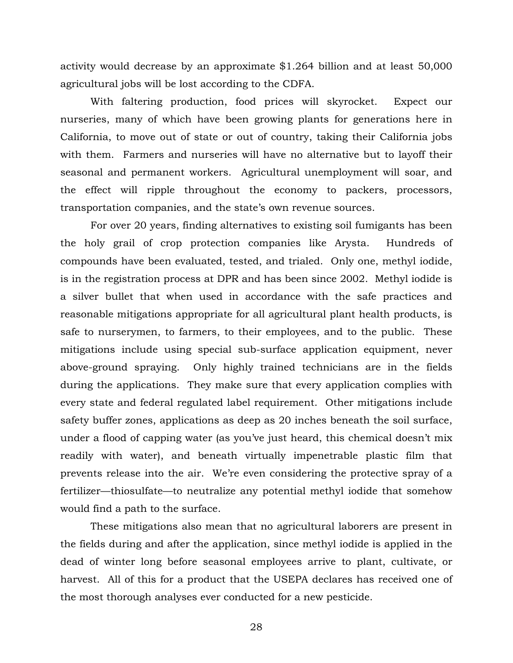activity would decrease by an approximate \$1.264 billion and at least 50,000 agricultural jobs will be lost according to the CDFA.

With faltering production, food prices will skyrocket. Expect our nurseries, many of which have been growing plants for generations here in California, to move out of state or out of country, taking their California jobs with them. Farmers and nurseries will have no alternative but to layoff their seasonal and permanent workers. Agricultural unemployment will soar, and the effect will ripple throughout the economy to packers, processors, transportation companies, and the state's own revenue sources.

For over 20 years, finding alternatives to existing soil fumigants has been the holy grail of crop protection companies like Arysta. Hundreds of compounds have been evaluated, tested, and trialed. Only one, methyl iodide, is in the registration process at DPR and has been since 2002. Methyl iodide is a silver bullet that when used in accordance with the safe practices and reasonable mitigations appropriate for all agricultural plant health products, is safe to nurserymen, to farmers, to their employees, and to the public. These mitigations include using special sub-surface application equipment, never above-ground spraying. Only highly trained technicians are in the fields during the applications. They make sure that every application complies with every state and federal regulated label requirement. Other mitigations include safety buffer zones, applications as deep as 20 inches beneath the soil surface, under a flood of capping water (as you've just heard, this chemical doesn't mix readily with water), and beneath virtually impenetrable plastic film that prevents release into the air. We're even considering the protective spray of a fertilizer—thiosulfate—to neutralize any potential methyl iodide that somehow would find a path to the surface.

These mitigations also mean that no agricultural laborers are present in the fields during and after the application, since methyl iodide is applied in the dead of winter long before seasonal employees arrive to plant, cultivate, or harvest. All of this for a product that the USEPA declares has received one of the most thorough analyses ever conducted for a new pesticide.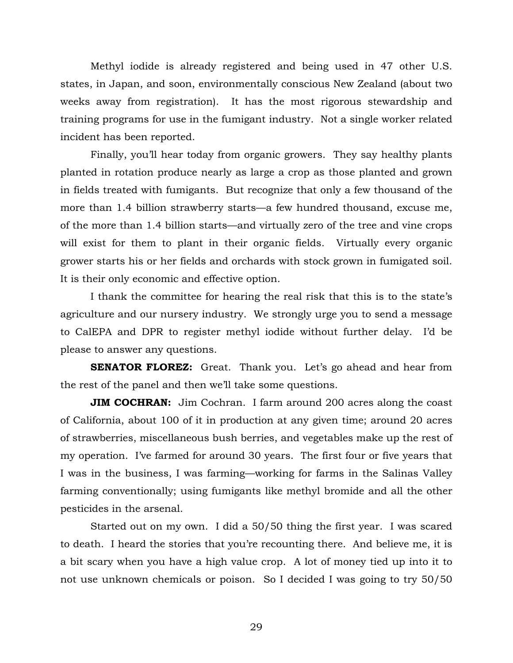Methyl iodide is already registered and being used in 47 other U.S. states, in Japan, and soon, environmentally conscious New Zealand (about two weeks away from registration). It has the most rigorous stewardship and training programs for use in the fumigant industry. Not a single worker related incident has been reported.

Finally, you'll hear today from organic growers. They say healthy plants planted in rotation produce nearly as large a crop as those planted and grown in fields treated with fumigants. But recognize that only a few thousand of the more than 1.4 billion strawberry starts—a few hundred thousand, excuse me, of the more than 1.4 billion starts—and virtually zero of the tree and vine crops will exist for them to plant in their organic fields. Virtually every organic grower starts his or her fields and orchards with stock grown in fumigated soil. It is their only economic and effective option.

I thank the committee for hearing the real risk that this is to the state's agriculture and our nursery industry. We strongly urge you to send a message to CalEPA and DPR to register methyl iodide without further delay. I'd be please to answer any questions.

**SENATOR FLOREZ:** Great. Thank you. Let's go ahead and hear from the rest of the panel and then we'll take some questions.

**JIM COCHRAN:** Jim Cochran. I farm around 200 acres along the coast of California, about 100 of it in production at any given time; around 20 acres of strawberries, miscellaneous bush berries, and vegetables make up the rest of my operation. I've farmed for around 30 years. The first four or five years that I was in the business, I was farming—working for farms in the Salinas Valley farming conventionally; using fumigants like methyl bromide and all the other pesticides in the arsenal.

Started out on my own. I did a 50/50 thing the first year. I was scared to death. I heard the stories that you're recounting there. And believe me, it is a bit scary when you have a high value crop. A lot of money tied up into it to not use unknown chemicals or poison. So I decided I was going to try 50/50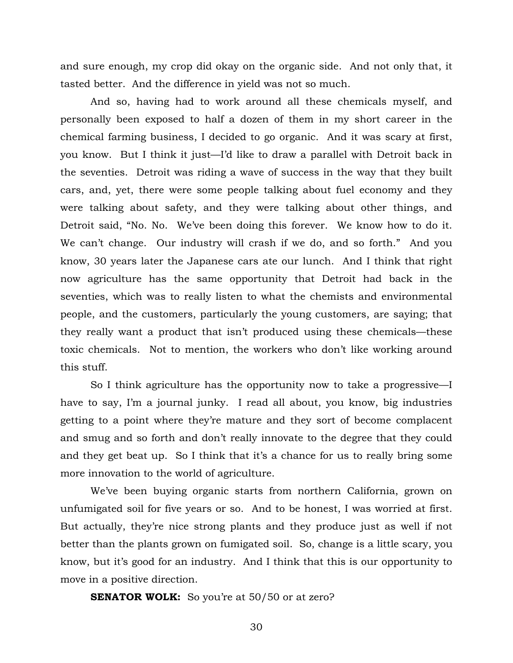and sure enough, my crop did okay on the organic side. And not only that, it tasted better. And the difference in yield was not so much.

And so, having had to work around all these chemicals myself, and personally been exposed to half a dozen of them in my short career in the chemical farming business, I decided to go organic. And it was scary at first, you know. But I think it just—I'd like to draw a parallel with Detroit back in the seventies. Detroit was riding a wave of success in the way that they built cars, and, yet, there were some people talking about fuel economy and they were talking about safety, and they were talking about other things, and Detroit said, "No. No. We've been doing this forever. We know how to do it. We can't change. Our industry will crash if we do, and so forth." And you know, 30 years later the Japanese cars ate our lunch. And I think that right now agriculture has the same opportunity that Detroit had back in the seventies, which was to really listen to what the chemists and environmental people, and the customers, particularly the young customers, are saying; that they really want a product that isn't produced using these chemicals—these toxic chemicals. Not to mention, the workers who don't like working around this stuff.

So I think agriculture has the opportunity now to take a progressive—I have to say, I'm a journal junky. I read all about, you know, big industries getting to a point where they're mature and they sort of become complacent and smug and so forth and don't really innovate to the degree that they could and they get beat up. So I think that it's a chance for us to really bring some more innovation to the world of agriculture.

We've been buying organic starts from northern California, grown on unfumigated soil for five years or so. And to be honest, I was worried at first. But actually, they're nice strong plants and they produce just as well if not better than the plants grown on fumigated soil. So, change is a little scary, you know, but it's good for an industry. And I think that this is our opportunity to move in a positive direction.

**SENATOR WOLK:** So you're at 50/50 or at zero?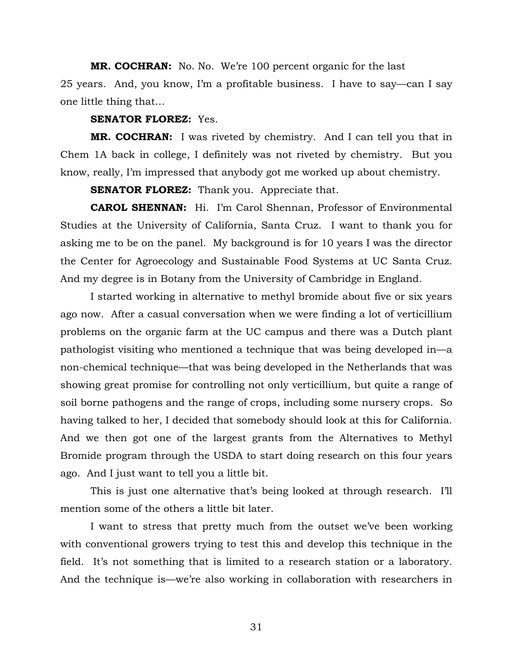**MR. COCHRAN:** No. No. We're 100 percent organic for the last 25 years. And, you know, I'm a profitable business. I have to say—can I say one little thing that…

## **SENATOR FLOREZ:** Yes.

**MR. COCHRAN:** I was riveted by chemistry. And I can tell you that in Chem 1A back in college, I definitely was not riveted by chemistry. But you know, really, I'm impressed that anybody got me worked up about chemistry.

**SENATOR FLOREZ:** Thank you. Appreciate that.

**CAROL SHENNAN:** Hi. I'm Carol Shennan, Professor of Environmental Studies at the University of California, Santa Cruz. I want to thank you for asking me to be on the panel. My background is for 10 years I was the director the Center for Agroecology and Sustainable Food Systems at UC Santa Cruz. And my degree is in Botany from the University of Cambridge in England.

I started working in alternative to methyl bromide about five or six years ago now. After a casual conversation when we were finding a lot of verticillium problems on the organic farm at the UC campus and there was a Dutch plant pathologist visiting who mentioned a technique that was being developed in—a non-chemical technique—that was being developed in the Netherlands that was showing great promise for controlling not only verticillium, but quite a range of soil borne pathogens and the range of crops, including some nursery crops. So having talked to her, I decided that somebody should look at this for California. And we then got one of the largest grants from the Alternatives to Methyl Bromide program through the USDA to start doing research on this four years ago. And I just want to tell you a little bit.

This is just one alternative that's being looked at through research. I'll mention some of the others a little bit later.

I want to stress that pretty much from the outset we've been working with conventional growers trying to test this and develop this technique in the field. It's not something that is limited to a research station or a laboratory. And the technique is—we're also working in collaboration with researchers in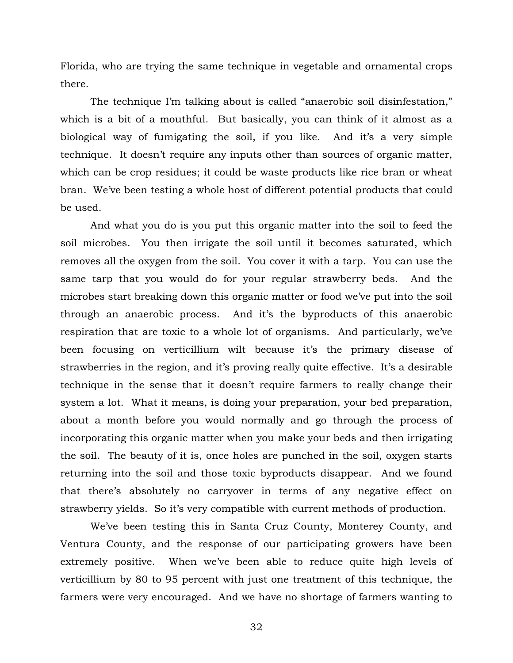Florida, who are trying the same technique in vegetable and ornamental crops there.

The technique I'm talking about is called "anaerobic soil disinfestation," which is a bit of a mouthful. But basically, you can think of it almost as a biological way of fumigating the soil, if you like. And it's a very simple technique. It doesn't require any inputs other than sources of organic matter, which can be crop residues; it could be waste products like rice bran or wheat bran. We've been testing a whole host of different potential products that could be used.

And what you do is you put this organic matter into the soil to feed the soil microbes. You then irrigate the soil until it becomes saturated, which removes all the oxygen from the soil. You cover it with a tarp. You can use the same tarp that you would do for your regular strawberry beds. And the microbes start breaking down this organic matter or food we've put into the soil through an anaerobic process. And it's the byproducts of this anaerobic respiration that are toxic to a whole lot of organisms. And particularly, we've been focusing on verticillium wilt because it's the primary disease of strawberries in the region, and it's proving really quite effective. It's a desirable technique in the sense that it doesn't require farmers to really change their system a lot. What it means, is doing your preparation, your bed preparation, about a month before you would normally and go through the process of incorporating this organic matter when you make your beds and then irrigating the soil. The beauty of it is, once holes are punched in the soil, oxygen starts returning into the soil and those toxic byproducts disappear. And we found that there's absolutely no carryover in terms of any negative effect on strawberry yields. So it's very compatible with current methods of production.

We've been testing this in Santa Cruz County, Monterey County, and Ventura County, and the response of our participating growers have been extremely positive. When we've been able to reduce quite high levels of verticillium by 80 to 95 percent with just one treatment of this technique, the farmers were very encouraged. And we have no shortage of farmers wanting to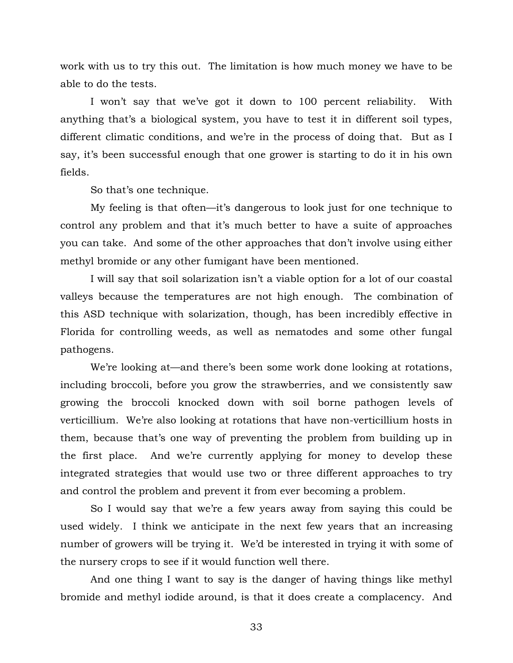work with us to try this out. The limitation is how much money we have to be able to do the tests.

I won't say that we've got it down to 100 percent reliability. With anything that's a biological system, you have to test it in different soil types, different climatic conditions, and we're in the process of doing that. But as I say, it's been successful enough that one grower is starting to do it in his own fields.

So that's one technique.

My feeling is that often—it's dangerous to look just for one technique to control any problem and that it's much better to have a suite of approaches you can take. And some of the other approaches that don't involve using either methyl bromide or any other fumigant have been mentioned.

I will say that soil solarization isn't a viable option for a lot of our coastal valleys because the temperatures are not high enough. The combination of this ASD technique with solarization, though, has been incredibly effective in Florida for controlling weeds, as well as nematodes and some other fungal pathogens.

We're looking at—and there's been some work done looking at rotations, including broccoli, before you grow the strawberries, and we consistently saw growing the broccoli knocked down with soil borne pathogen levels of verticillium. We're also looking at rotations that have non-verticillium hosts in them, because that's one way of preventing the problem from building up in the first place. And we're currently applying for money to develop these integrated strategies that would use two or three different approaches to try and control the problem and prevent it from ever becoming a problem.

So I would say that we're a few years away from saying this could be used widely. I think we anticipate in the next few years that an increasing number of growers will be trying it. We'd be interested in trying it with some of the nursery crops to see if it would function well there.

And one thing I want to say is the danger of having things like methyl bromide and methyl iodide around, is that it does create a complacency. And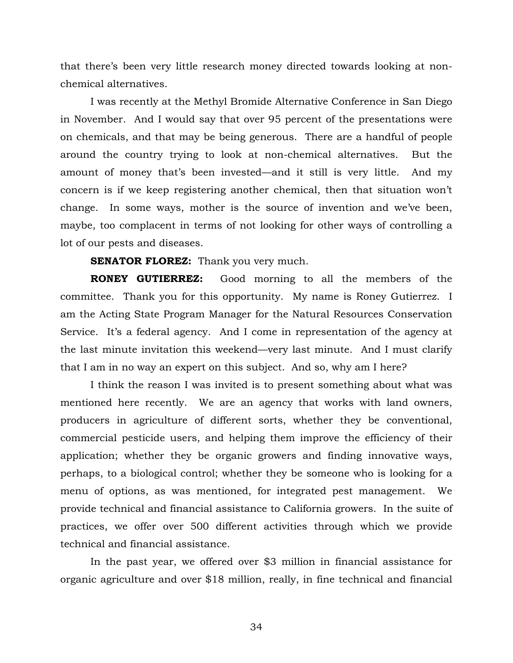that there's been very little research money directed towards looking at nonchemical alternatives.

I was recently at the Methyl Bromide Alternative Conference in San Diego in November. And I would say that over 95 percent of the presentations were on chemicals, and that may be being generous. There are a handful of people around the country trying to look at non-chemical alternatives. But the amount of money that's been invested—and it still is very little. And my concern is if we keep registering another chemical, then that situation won't change. In some ways, mother is the source of invention and we've been, maybe, too complacent in terms of not looking for other ways of controlling a lot of our pests and diseases.

**SENATOR FLOREZ:** Thank you very much.

**RONEY GUTIERREZ:** Good morning to all the members of the committee. Thank you for this opportunity. My name is Roney Gutierrez. I am the Acting State Program Manager for the Natural Resources Conservation Service. It's a federal agency. And I come in representation of the agency at the last minute invitation this weekend—very last minute. And I must clarify that I am in no way an expert on this subject. And so, why am I here?

I think the reason I was invited is to present something about what was mentioned here recently. We are an agency that works with land owners, producers in agriculture of different sorts, whether they be conventional, commercial pesticide users, and helping them improve the efficiency of their application; whether they be organic growers and finding innovative ways, perhaps, to a biological control; whether they be someone who is looking for a menu of options, as was mentioned, for integrated pest management. We provide technical and financial assistance to California growers. In the suite of practices, we offer over 500 different activities through which we provide technical and financial assistance.

In the past year, we offered over \$3 million in financial assistance for organic agriculture and over \$18 million, really, in fine technical and financial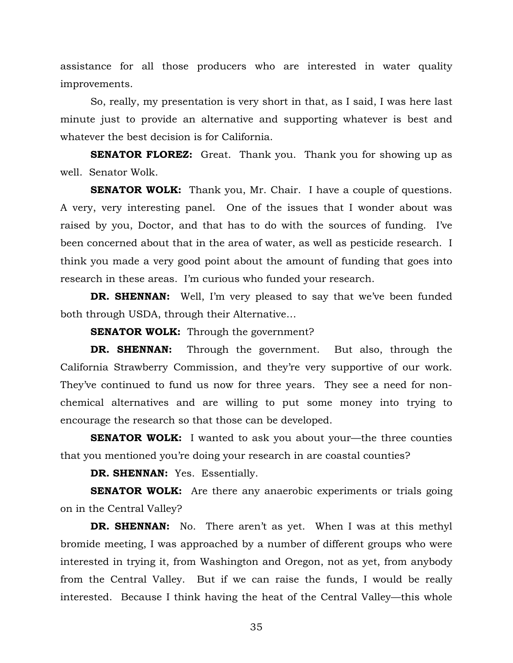assistance for all those producers who are interested in water quality improvements.

So, really, my presentation is very short in that, as I said, I was here last minute just to provide an alternative and supporting whatever is best and whatever the best decision is for California.

**SENATOR FLOREZ:** Great. Thank you. Thank you for showing up as well. Senator Wolk.

**SENATOR WOLK:** Thank you, Mr. Chair. I have a couple of questions. A very, very interesting panel. One of the issues that I wonder about was raised by you, Doctor, and that has to do with the sources of funding. I've been concerned about that in the area of water, as well as pesticide research. I think you made a very good point about the amount of funding that goes into research in these areas. I'm curious who funded your research.

**DR. SHENNAN:** Well, I'm very pleased to say that we've been funded both through USDA, through their Alternative…

**SENATOR WOLK:** Through the government?

**DR. SHENNAN:** Through the government. But also, through the California Strawberry Commission, and they're very supportive of our work. They've continued to fund us now for three years. They see a need for nonchemical alternatives and are willing to put some money into trying to encourage the research so that those can be developed.

**SENATOR WOLK:** I wanted to ask you about your—the three counties that you mentioned you're doing your research in are coastal counties?

**DR. SHENNAN:** Yes. Essentially.

**SENATOR WOLK:** Are there any anaerobic experiments or trials going on in the Central Valley?

**DR. SHENNAN:** No. There aren't as yet. When I was at this methyl bromide meeting, I was approached by a number of different groups who were interested in trying it, from Washington and Oregon, not as yet, from anybody from the Central Valley. But if we can raise the funds, I would be really interested. Because I think having the heat of the Central Valley—this whole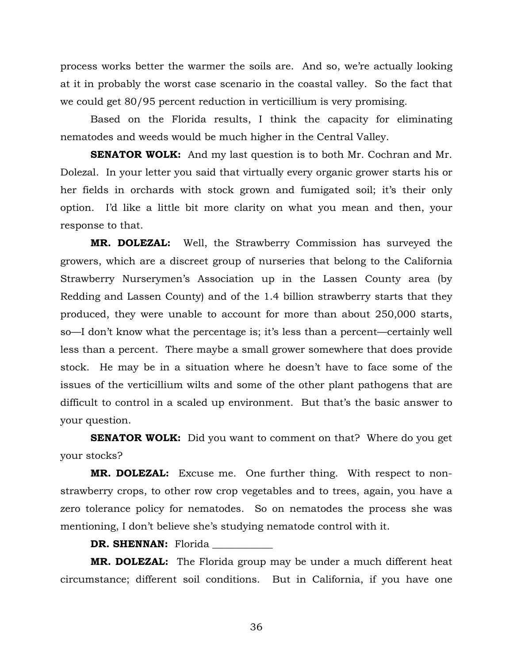process works better the warmer the soils are. And so, we're actually looking at it in probably the worst case scenario in the coastal valley. So the fact that we could get 80/95 percent reduction in verticillium is very promising.

Based on the Florida results, I think the capacity for eliminating nematodes and weeds would be much higher in the Central Valley.

**SENATOR WOLK:** And my last question is to both Mr. Cochran and Mr. Dolezal. In your letter you said that virtually every organic grower starts his or her fields in orchards with stock grown and fumigated soil; it's their only option. I'd like a little bit more clarity on what you mean and then, your response to that.

**MR. DOLEZAL:** Well, the Strawberry Commission has surveyed the growers, which are a discreet group of nurseries that belong to the California Strawberry Nurserymen's Association up in the Lassen County area (by Redding and Lassen County) and of the 1.4 billion strawberry starts that they produced, they were unable to account for more than about 250,000 starts, so—I don't know what the percentage is; it's less than a percent—certainly well less than a percent. There maybe a small grower somewhere that does provide stock. He may be in a situation where he doesn't have to face some of the issues of the verticillium wilts and some of the other plant pathogens that are difficult to control in a scaled up environment. But that's the basic answer to your question.

**SENATOR WOLK:** Did you want to comment on that? Where do you get your stocks?

**MR. DOLEZAL:** Excuse me. One further thing. With respect to nonstrawberry crops, to other row crop vegetables and to trees, again, you have a zero tolerance policy for nematodes. So on nematodes the process she was mentioning, I don't believe she's studying nematode control with it.

**DR. SHENNAN:** Florida

**MR. DOLEZAL:** The Florida group may be under a much different heat circumstance; different soil conditions. But in California, if you have one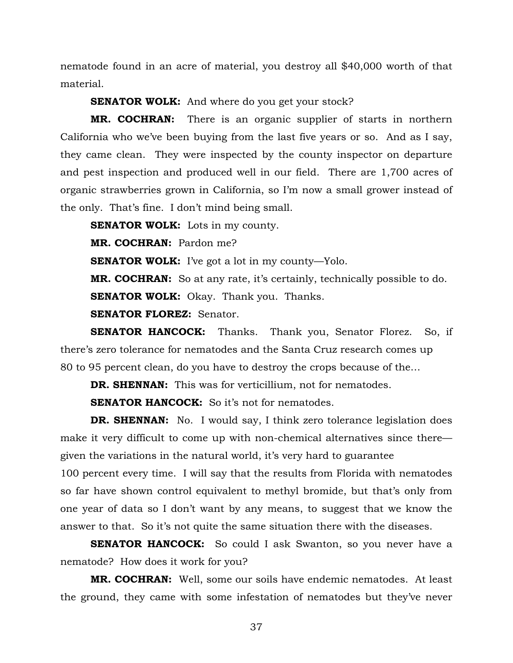nematode found in an acre of material, you destroy all \$40,000 worth of that material.

**SENATOR WOLK:** And where do you get your stock?

**MR. COCHRAN:** There is an organic supplier of starts in northern California who we've been buying from the last five years or so. And as I say, they came clean. They were inspected by the county inspector on departure and pest inspection and produced well in our field. There are 1,700 acres of organic strawberries grown in California, so I'm now a small grower instead of the only. That's fine. I don't mind being small.

**SENATOR WOLK:** Lots in my county.

**MR. COCHRAN:** Pardon me?

**SENATOR WOLK:** I've got a lot in my county—Yolo.

**MR. COCHRAN:** So at any rate, it's certainly, technically possible to do.

**SENATOR WOLK:** Okay. Thank you. Thanks.

**SENATOR FLOREZ:** Senator.

**SENATOR HANCOCK:** Thanks. Thank you, Senator Florez. So, if there's zero tolerance for nematodes and the Santa Cruz research comes up 80 to 95 percent clean, do you have to destroy the crops because of the…

**DR. SHENNAN:** This was for verticillium, not for nematodes.

**SENATOR HANCOCK:** So it's not for nematodes.

**DR. SHENNAN:** No. I would say, I think zero tolerance legislation does make it very difficult to come up with non-chemical alternatives since there given the variations in the natural world, it's very hard to guarantee

100 percent every time. I will say that the results from Florida with nematodes so far have shown control equivalent to methyl bromide, but that's only from one year of data so I don't want by any means, to suggest that we know the answer to that. So it's not quite the same situation there with the diseases.

**SENATOR HANCOCK:** So could I ask Swanton, so you never have a nematode? How does it work for you?

**MR. COCHRAN:** Well, some our soils have endemic nematodes. At least the ground, they came with some infestation of nematodes but they've never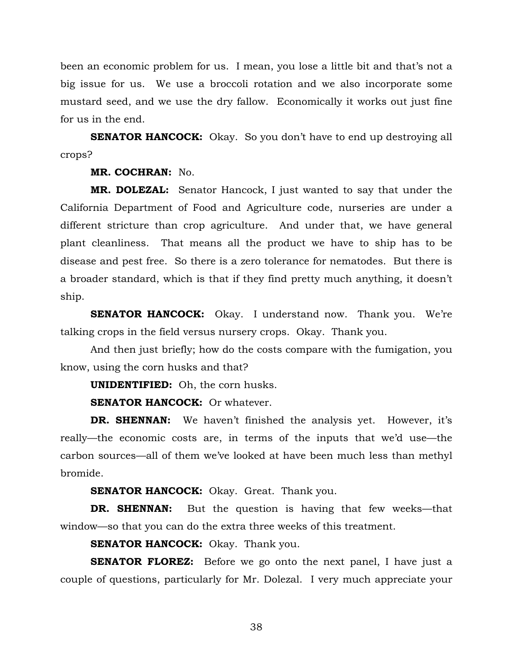been an economic problem for us. I mean, you lose a little bit and that's not a big issue for us. We use a broccoli rotation and we also incorporate some mustard seed, and we use the dry fallow. Economically it works out just fine for us in the end.

**SENATOR HANCOCK:** Okay. So you don't have to end up destroying all crops?

**MR. COCHRAN:** No.

**MR. DOLEZAL:** Senator Hancock, I just wanted to say that under the California Department of Food and Agriculture code, nurseries are under a different stricture than crop agriculture. And under that, we have general plant cleanliness. That means all the product we have to ship has to be disease and pest free. So there is a zero tolerance for nematodes. But there is a broader standard, which is that if they find pretty much anything, it doesn't ship.

**SENATOR HANCOCK:** Okay. I understand now. Thank you. We're talking crops in the field versus nursery crops. Okay. Thank you.

And then just briefly; how do the costs compare with the fumigation, you know, using the corn husks and that?

**UNIDENTIFIED:** Oh, the corn husks.

**SENATOR HANCOCK:** Or whatever.

**DR. SHENNAN:** We haven't finished the analysis yet. However, it's really—the economic costs are, in terms of the inputs that we'd use—the carbon sources—all of them we've looked at have been much less than methyl bromide.

**SENATOR HANCOCK:** Okay. Great. Thank you.

**DR. SHENNAN:** But the question is having that few weeks—that window—so that you can do the extra three weeks of this treatment.

**SENATOR HANCOCK:** Okay. Thank you.

**SENATOR FLOREZ:** Before we go onto the next panel, I have just a couple of questions, particularly for Mr. Dolezal. I very much appreciate your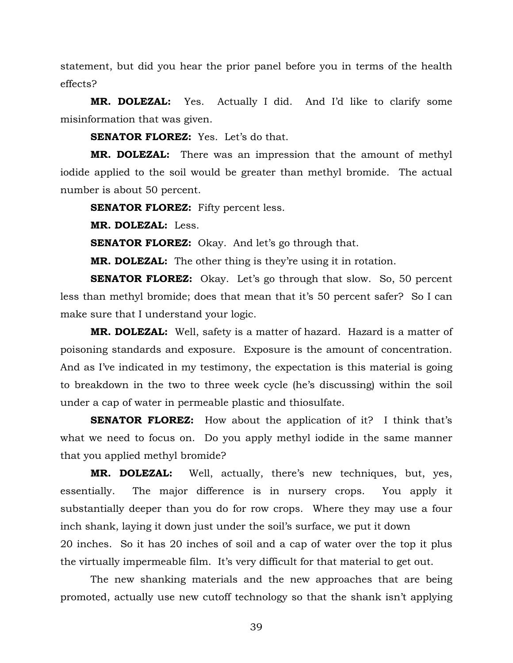statement, but did you hear the prior panel before you in terms of the health effects?

**MR. DOLEZAL:** Yes. Actually I did. And I'd like to clarify some misinformation that was given.

**SENATOR FLOREZ:** Yes. Let's do that.

**MR. DOLEZAL:** There was an impression that the amount of methyl iodide applied to the soil would be greater than methyl bromide. The actual number is about 50 percent.

**SENATOR FLOREZ:** Fifty percent less.

**MR. DOLEZAL:** Less.

**SENATOR FLOREZ:** Okay. And let's go through that.

**MR. DOLEZAL:** The other thing is they're using it in rotation.

**SENATOR FLOREZ:** Okay. Let's go through that slow. So, 50 percent less than methyl bromide; does that mean that it's 50 percent safer? So I can make sure that I understand your logic.

**MR. DOLEZAL:** Well, safety is a matter of hazard. Hazard is a matter of poisoning standards and exposure. Exposure is the amount of concentration. And as I've indicated in my testimony, the expectation is this material is going to breakdown in the two to three week cycle (he's discussing) within the soil under a cap of water in permeable plastic and thiosulfate.

**SENATOR FLOREZ:** How about the application of it? I think that's what we need to focus on. Do you apply methyl iodide in the same manner that you applied methyl bromide?

**MR. DOLEZAL:** Well, actually, there's new techniques, but, yes, essentially. The major difference is in nursery crops. You apply it substantially deeper than you do for row crops. Where they may use a four inch shank, laying it down just under the soil's surface, we put it down 20 inches. So it has 20 inches of soil and a cap of water over the top it plus the virtually impermeable film. It's very difficult for that material to get out.

The new shanking materials and the new approaches that are being promoted, actually use new cutoff technology so that the shank isn't applying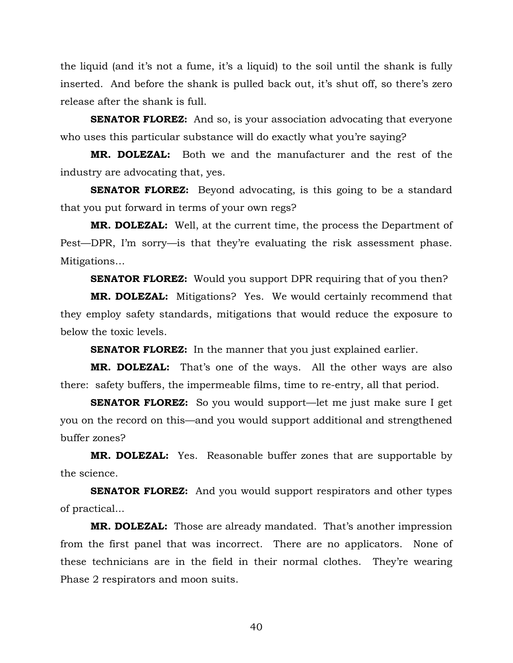the liquid (and it's not a fume, it's a liquid) to the soil until the shank is fully inserted. And before the shank is pulled back out, it's shut off, so there's zero release after the shank is full.

**SENATOR FLOREZ:** And so, is your association advocating that everyone who uses this particular substance will do exactly what you're saying?

**MR. DOLEZAL:** Both we and the manufacturer and the rest of the industry are advocating that, yes.

**SENATOR FLOREZ:** Beyond advocating, is this going to be a standard that you put forward in terms of your own regs?

**MR. DOLEZAL:** Well, at the current time, the process the Department of Pest—DPR, I'm sorry—is that they're evaluating the risk assessment phase. Mitigations…

**SENATOR FLOREZ:** Would you support DPR requiring that of you then?

**MR. DOLEZAL:** Mitigations? Yes. We would certainly recommend that they employ safety standards, mitigations that would reduce the exposure to below the toxic levels.

**SENATOR FLOREZ:** In the manner that you just explained earlier.

**MR. DOLEZAL:** That's one of the ways. All the other ways are also there: safety buffers, the impermeable films, time to re-entry, all that period.

**SENATOR FLOREZ:** So you would support—let me just make sure I get you on the record on this—and you would support additional and strengthened buffer zones?

**MR. DOLEZAL:** Yes. Reasonable buffer zones that are supportable by the science.

**SENATOR FLOREZ:** And you would support respirators and other types of practical...

**MR. DOLEZAL:** Those are already mandated. That's another impression from the first panel that was incorrect. There are no applicators. None of these technicians are in the field in their normal clothes. They're wearing Phase 2 respirators and moon suits.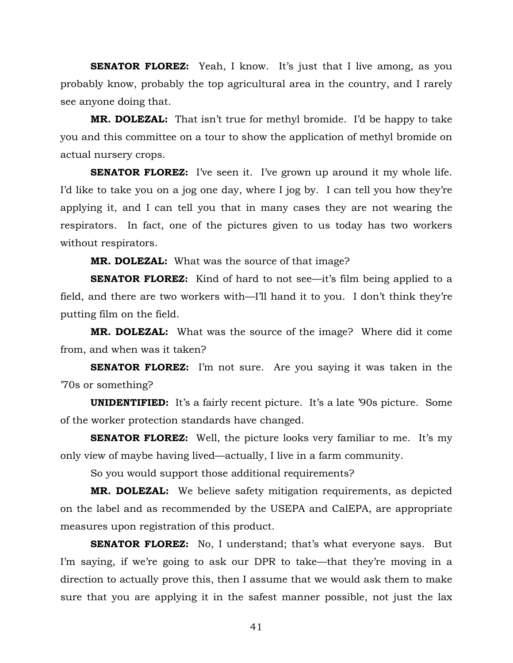**SENATOR FLOREZ:** Yeah, I know. It's just that I live among, as you probably know, probably the top agricultural area in the country, and I rarely see anyone doing that.

**MR. DOLEZAL:** That isn't true for methyl bromide. I'd be happy to take you and this committee on a tour to show the application of methyl bromide on actual nursery crops.

**SENATOR FLOREZ:** I've seen it. I've grown up around it my whole life. I'd like to take you on a jog one day, where I jog by. I can tell you how they're applying it, and I can tell you that in many cases they are not wearing the respirators. In fact, one of the pictures given to us today has two workers without respirators.

**MR. DOLEZAL:** What was the source of that image?

**SENATOR FLOREZ:** Kind of hard to not see—it's film being applied to a field, and there are two workers with—I'll hand it to you. I don't think they're putting film on the field.

**MR. DOLEZAL:** What was the source of the image? Where did it come from, and when was it taken?

**SENATOR FLOREZ:** I'm not sure. Are you saying it was taken in the '70s or something?

**UNIDENTIFIED:** It's a fairly recent picture. It's a late '90s picture. Some of the worker protection standards have changed.

**SENATOR FLOREZ:** Well, the picture looks very familiar to me. It's my only view of maybe having lived—actually, I live in a farm community.

So you would support those additional requirements?

**MR. DOLEZAL:** We believe safety mitigation requirements, as depicted on the label and as recommended by the USEPA and CalEPA, are appropriate measures upon registration of this product.

**SENATOR FLOREZ:** No, I understand; that's what everyone says. But I'm saying, if we're going to ask our DPR to take—that they're moving in a direction to actually prove this, then I assume that we would ask them to make sure that you are applying it in the safest manner possible, not just the lax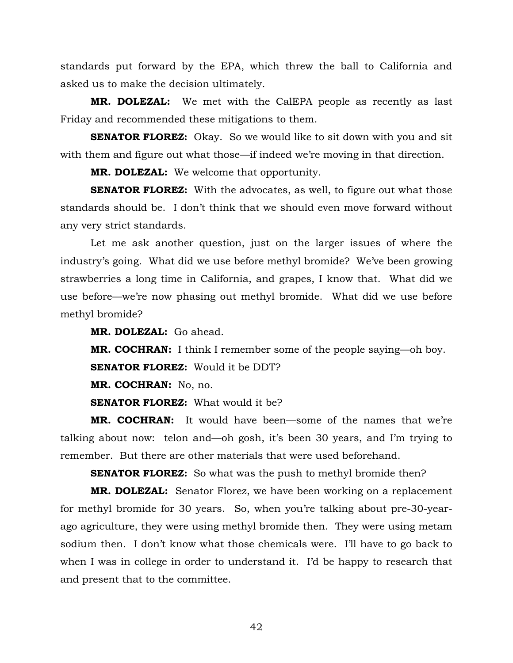standards put forward by the EPA, which threw the ball to California and asked us to make the decision ultimately.

**MR. DOLEZAL:** We met with the CalEPA people as recently as last Friday and recommended these mitigations to them.

**SENATOR FLOREZ:** Okay. So we would like to sit down with you and sit with them and figure out what those—if indeed we're moving in that direction.

**MR. DOLEZAL:** We welcome that opportunity.

**SENATOR FLOREZ:** With the advocates, as well, to figure out what those standards should be. I don't think that we should even move forward without any very strict standards.

Let me ask another question, just on the larger issues of where the industry's going. What did we use before methyl bromide? We've been growing strawberries a long time in California, and grapes, I know that. What did we use before—we're now phasing out methyl bromide. What did we use before methyl bromide?

**MR. DOLEZAL:** Go ahead.

**MR. COCHRAN:** I think I remember some of the people saying—oh boy.

**SENATOR FLOREZ:** Would it be DDT?

**MR. COCHRAN:** No, no.

**SENATOR FLOREZ:** What would it be?

**MR. COCHRAN:** It would have been—some of the names that we're talking about now: telon and—oh gosh, it's been 30 years, and I'm trying to remember. But there are other materials that were used beforehand.

**SENATOR FLOREZ:** So what was the push to methyl bromide then?

**MR. DOLEZAL:** Senator Florez, we have been working on a replacement for methyl bromide for 30 years. So, when you're talking about pre-30-yearago agriculture, they were using methyl bromide then. They were using metam sodium then. I don't know what those chemicals were. I'll have to go back to when I was in college in order to understand it. I'd be happy to research that and present that to the committee.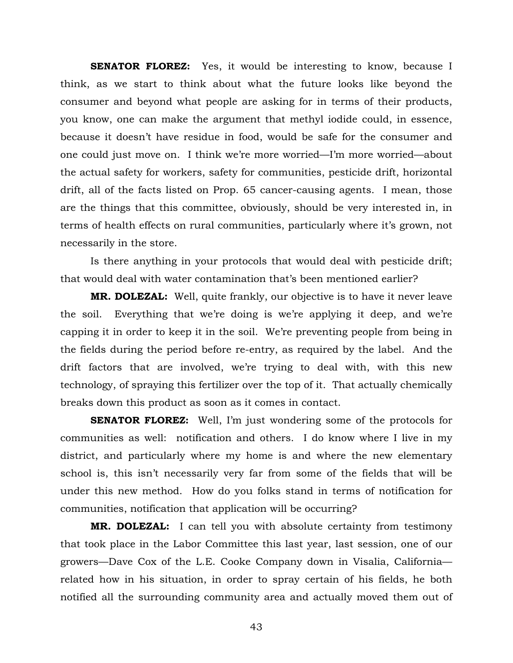**SENATOR FLOREZ:** Yes, it would be interesting to know, because I think, as we start to think about what the future looks like beyond the consumer and beyond what people are asking for in terms of their products, you know, one can make the argument that methyl iodide could, in essence, because it doesn't have residue in food, would be safe for the consumer and one could just move on. I think we're more worried—I'm more worried—about the actual safety for workers, safety for communities, pesticide drift, horizontal drift, all of the facts listed on Prop. 65 cancer-causing agents. I mean, those are the things that this committee, obviously, should be very interested in, in terms of health effects on rural communities, particularly where it's grown, not necessarily in the store.

Is there anything in your protocols that would deal with pesticide drift; that would deal with water contamination that's been mentioned earlier?

**MR. DOLEZAL:** Well, quite frankly, our objective is to have it never leave the soil. Everything that we're doing is we're applying it deep, and we're capping it in order to keep it in the soil. We're preventing people from being in the fields during the period before re-entry, as required by the label. And the drift factors that are involved, we're trying to deal with, with this new technology, of spraying this fertilizer over the top of it. That actually chemically breaks down this product as soon as it comes in contact.

**SENATOR FLOREZ:** Well, I'm just wondering some of the protocols for communities as well: notification and others. I do know where I live in my district, and particularly where my home is and where the new elementary school is, this isn't necessarily very far from some of the fields that will be under this new method. How do you folks stand in terms of notification for communities, notification that application will be occurring?

**MR. DOLEZAL:** I can tell you with absolute certainty from testimony that took place in the Labor Committee this last year, last session, one of our growers—Dave Cox of the L.E. Cooke Company down in Visalia, California related how in his situation, in order to spray certain of his fields, he both notified all the surrounding community area and actually moved them out of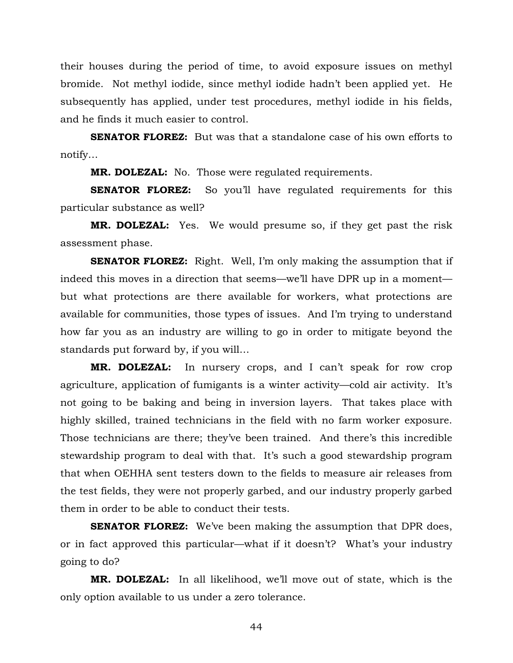their houses during the period of time, to avoid exposure issues on methyl bromide. Not methyl iodide, since methyl iodide hadn't been applied yet. He subsequently has applied, under test procedures, methyl iodide in his fields, and he finds it much easier to control.

**SENATOR FLOREZ:** But was that a standalone case of his own efforts to notify…

**MR. DOLEZAL:** No. Those were regulated requirements.

**SENATOR FLOREZ:** So you'll have regulated requirements for this particular substance as well?

**MR. DOLEZAL:** Yes. We would presume so, if they get past the risk assessment phase.

**SENATOR FLOREZ:** Right. Well, I'm only making the assumption that if indeed this moves in a direction that seems—we'll have DPR up in a moment but what protections are there available for workers, what protections are available for communities, those types of issues. And I'm trying to understand how far you as an industry are willing to go in order to mitigate beyond the standards put forward by, if you will…

**MR. DOLEZAL:** In nursery crops, and I can't speak for row crop agriculture, application of fumigants is a winter activity—cold air activity. It's not going to be baking and being in inversion layers. That takes place with highly skilled, trained technicians in the field with no farm worker exposure. Those technicians are there; they've been trained. And there's this incredible stewardship program to deal with that. It's such a good stewardship program that when OEHHA sent testers down to the fields to measure air releases from the test fields, they were not properly garbed, and our industry properly garbed them in order to be able to conduct their tests.

**SENATOR FLOREZ:** We've been making the assumption that DPR does, or in fact approved this particular—what if it doesn't? What's your industry going to do?

**MR. DOLEZAL:** In all likelihood, we'll move out of state, which is the only option available to us under a zero tolerance.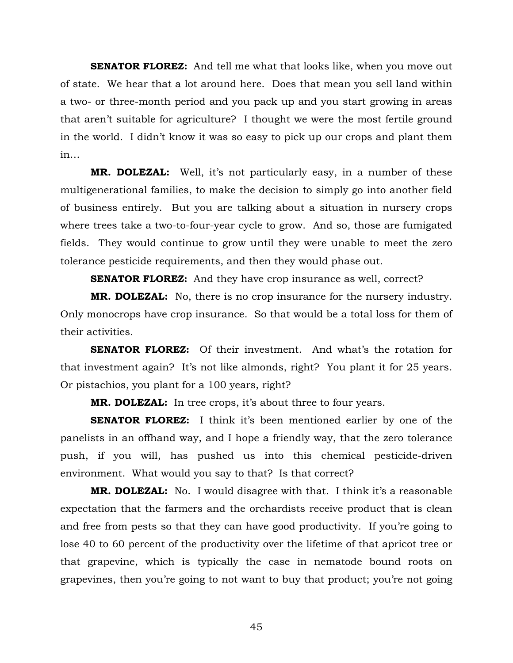**SENATOR FLOREZ:** And tell me what that looks like, when you move out of state. We hear that a lot around here. Does that mean you sell land within a two- or three-month period and you pack up and you start growing in areas that aren't suitable for agriculture? I thought we were the most fertile ground in the world. I didn't know it was so easy to pick up our crops and plant them in…

**MR. DOLEZAL:** Well, it's not particularly easy, in a number of these multigenerational families, to make the decision to simply go into another field of business entirely. But you are talking about a situation in nursery crops where trees take a two-to-four-year cycle to grow. And so, those are fumigated fields. They would continue to grow until they were unable to meet the zero tolerance pesticide requirements, and then they would phase out.

**SENATOR FLOREZ:** And they have crop insurance as well, correct?

**MR. DOLEZAL:** No, there is no crop insurance for the nursery industry. Only monocrops have crop insurance. So that would be a total loss for them of their activities.

**SENATOR FLOREZ:** Of their investment. And what's the rotation for that investment again? It's not like almonds, right? You plant it for 25 years. Or pistachios, you plant for a 100 years, right?

**MR. DOLEZAL:** In tree crops, it's about three to four years.

**SENATOR FLOREZ:** I think it's been mentioned earlier by one of the panelists in an offhand way, and I hope a friendly way, that the zero tolerance push, if you will, has pushed us into this chemical pesticide-driven environment. What would you say to that? Is that correct?

**MR. DOLEZAL:** No. I would disagree with that. I think it's a reasonable expectation that the farmers and the orchardists receive product that is clean and free from pests so that they can have good productivity. If you're going to lose 40 to 60 percent of the productivity over the lifetime of that apricot tree or that grapevine, which is typically the case in nematode bound roots on grapevines, then you're going to not want to buy that product; you're not going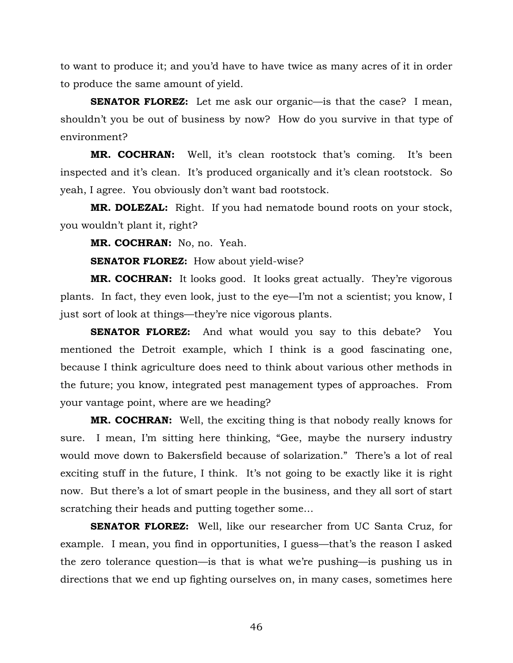to want to produce it; and you'd have to have twice as many acres of it in order to produce the same amount of yield.

**SENATOR FLOREZ:** Let me ask our organic—is that the case? I mean, shouldn't you be out of business by now? How do you survive in that type of environment?

**MR. COCHRAN:** Well, it's clean rootstock that's coming. It's been inspected and it's clean. It's produced organically and it's clean rootstock. So yeah, I agree. You obviously don't want bad rootstock.

**MR. DOLEZAL:** Right. If you had nematode bound roots on your stock, you wouldn't plant it, right?

**MR. COCHRAN:** No, no. Yeah.

**SENATOR FLOREZ:** How about yield-wise?

**MR. COCHRAN:** It looks good. It looks great actually. They're vigorous plants. In fact, they even look, just to the eye—I'm not a scientist; you know, I just sort of look at things—they're nice vigorous plants.

**SENATOR FLOREZ:** And what would you say to this debate? You mentioned the Detroit example, which I think is a good fascinating one, because I think agriculture does need to think about various other methods in the future; you know, integrated pest management types of approaches. From your vantage point, where are we heading?

**MR. COCHRAN:** Well, the exciting thing is that nobody really knows for sure. I mean, I'm sitting here thinking, "Gee, maybe the nursery industry would move down to Bakersfield because of solarization." There's a lot of real exciting stuff in the future, I think. It's not going to be exactly like it is right now. But there's a lot of smart people in the business, and they all sort of start scratching their heads and putting together some…

**SENATOR FLOREZ:** Well, like our researcher from UC Santa Cruz, for example. I mean, you find in opportunities, I guess—that's the reason I asked the zero tolerance question—is that is what we're pushing—is pushing us in directions that we end up fighting ourselves on, in many cases, sometimes here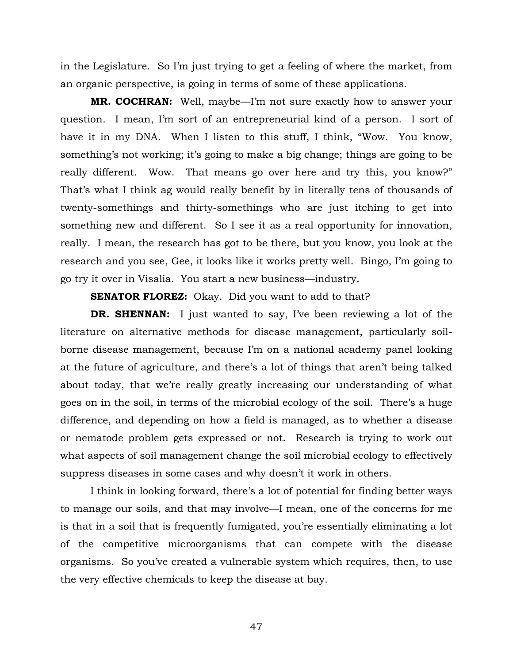in the Legislature. So I'm just trying to get a feeling of where the market, from an organic perspective, is going in terms of some of these applications.

**MR. COCHRAN:** Well, maybe—I'm not sure exactly how to answer your question. I mean, I'm sort of an entrepreneurial kind of a person. I sort of have it in my DNA. When I listen to this stuff, I think, "Wow. You know, something's not working; it's going to make a big change; things are going to be really different. Wow. That means go over here and try this, you know?" That's what I think ag would really benefit by in literally tens of thousands of twenty-somethings and thirty-somethings who are just itching to get into something new and different. So I see it as a real opportunity for innovation, really. I mean, the research has got to be there, but you know, you look at the research and you see, Gee, it looks like it works pretty well. Bingo, I'm going to go try it over in Visalia. You start a new business—industry.

**SENATOR FLOREZ:** Okay. Did you want to add to that?

**DR. SHENNAN:** I just wanted to say, I've been reviewing a lot of the literature on alternative methods for disease management, particularly soilborne disease management, because I'm on a national academy panel looking at the future of agriculture, and there's a lot of things that aren't being talked about today, that we're really greatly increasing our understanding of what goes on in the soil, in terms of the microbial ecology of the soil. There's a huge difference, and depending on how a field is managed, as to whether a disease or nematode problem gets expressed or not. Research is trying to work out what aspects of soil management change the soil microbial ecology to effectively suppress diseases in some cases and why doesn't it work in others.

I think in looking forward, there's a lot of potential for finding better ways to manage our soils, and that may involve—I mean, one of the concerns for me is that in a soil that is frequently fumigated, you're essentially eliminating a lot of the competitive microorganisms that can compete with the disease organisms. So you've created a vulnerable system which requires, then, to use the very effective chemicals to keep the disease at bay.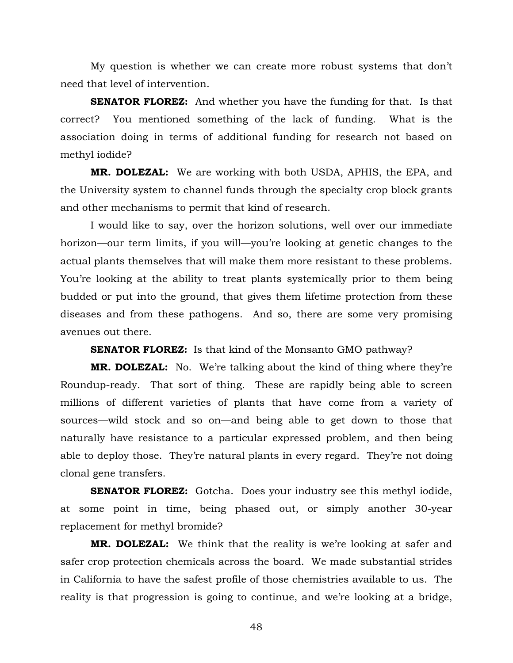My question is whether we can create more robust systems that don't need that level of intervention.

**SENATOR FLOREZ:** And whether you have the funding for that. Is that correct? You mentioned something of the lack of funding. What is the association doing in terms of additional funding for research not based on methyl iodide?

**MR. DOLEZAL:** We are working with both USDA, APHIS, the EPA, and the University system to channel funds through the specialty crop block grants and other mechanisms to permit that kind of research.

I would like to say, over the horizon solutions, well over our immediate horizon—our term limits, if you will—you're looking at genetic changes to the actual plants themselves that will make them more resistant to these problems. You're looking at the ability to treat plants systemically prior to them being budded or put into the ground, that gives them lifetime protection from these diseases and from these pathogens. And so, there are some very promising avenues out there.

**SENATOR FLOREZ:** Is that kind of the Monsanto GMO pathway?

**MR. DOLEZAL:** No. We're talking about the kind of thing where they're Roundup-ready. That sort of thing. These are rapidly being able to screen millions of different varieties of plants that have come from a variety of sources—wild stock and so on—and being able to get down to those that naturally have resistance to a particular expressed problem, and then being able to deploy those. They're natural plants in every regard. They're not doing clonal gene transfers.

**SENATOR FLOREZ:** Gotcha. Does your industry see this methyl iodide, at some point in time, being phased out, or simply another 30-year replacement for methyl bromide?

**MR. DOLEZAL:** We think that the reality is we're looking at safer and safer crop protection chemicals across the board. We made substantial strides in California to have the safest profile of those chemistries available to us. The reality is that progression is going to continue, and we're looking at a bridge,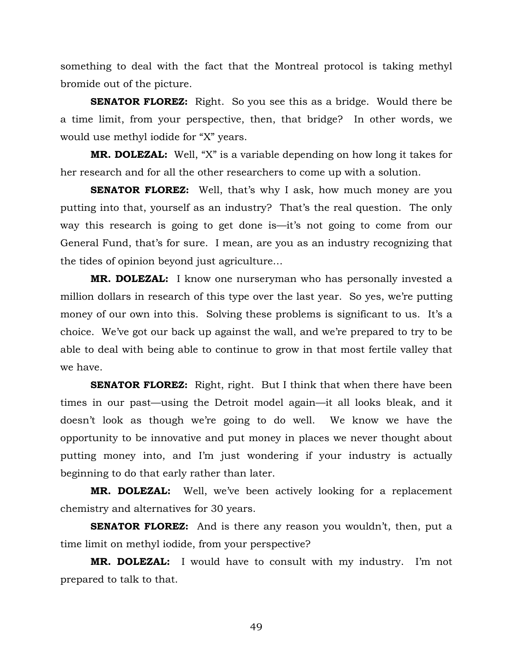something to deal with the fact that the Montreal protocol is taking methyl bromide out of the picture.

**SENATOR FLOREZ:** Right. So you see this as a bridge. Would there be a time limit, from your perspective, then, that bridge? In other words, we would use methyl iodide for "X" years.

**MR. DOLEZAL:** Well, "X" is a variable depending on how long it takes for her research and for all the other researchers to come up with a solution.

**SENATOR FLOREZ:** Well, that's why I ask, how much money are you putting into that, yourself as an industry? That's the real question. The only way this research is going to get done is—it's not going to come from our General Fund, that's for sure. I mean, are you as an industry recognizing that the tides of opinion beyond just agriculture…

**MR. DOLEZAL:** I know one nurseryman who has personally invested a million dollars in research of this type over the last year. So yes, we're putting money of our own into this. Solving these problems is significant to us. It's a choice. We've got our back up against the wall, and we're prepared to try to be able to deal with being able to continue to grow in that most fertile valley that we have.

**SENATOR FLOREZ:** Right, right. But I think that when there have been times in our past—using the Detroit model again—it all looks bleak, and it doesn't look as though we're going to do well. We know we have the opportunity to be innovative and put money in places we never thought about putting money into, and I'm just wondering if your industry is actually beginning to do that early rather than later.

**MR. DOLEZAL:** Well, we've been actively looking for a replacement chemistry and alternatives for 30 years.

**SENATOR FLOREZ:** And is there any reason you wouldn't, then, put a time limit on methyl iodide, from your perspective?

**MR. DOLEZAL:** I would have to consult with my industry. I'm not prepared to talk to that.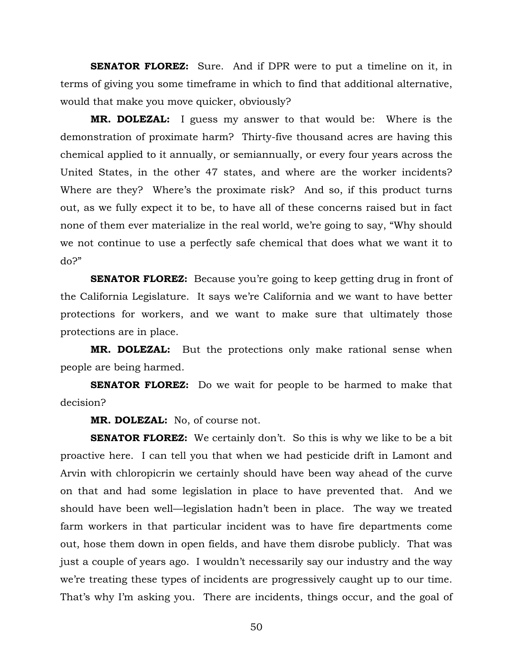**SENATOR FLOREZ:** Sure. And if DPR were to put a timeline on it, in terms of giving you some timeframe in which to find that additional alternative, would that make you move quicker, obviously?

**MR. DOLEZAL:** I guess my answer to that would be: Where is the demonstration of proximate harm? Thirty-five thousand acres are having this chemical applied to it annually, or semiannually, or every four years across the United States, in the other 47 states, and where are the worker incidents? Where are they? Where's the proximate risk? And so, if this product turns out, as we fully expect it to be, to have all of these concerns raised but in fact none of them ever materialize in the real world, we're going to say, "Why should we not continue to use a perfectly safe chemical that does what we want it to do?"

**SENATOR FLOREZ:** Because you're going to keep getting drug in front of the California Legislature. It says we're California and we want to have better protections for workers, and we want to make sure that ultimately those protections are in place.

**MR. DOLEZAL:** But the protections only make rational sense when people are being harmed.

**SENATOR FLOREZ:** Do we wait for people to be harmed to make that decision?

**MR. DOLEZAL:** No, of course not.

**SENATOR FLOREZ:** We certainly don't. So this is why we like to be a bit proactive here. I can tell you that when we had pesticide drift in Lamont and Arvin with chloropicrin we certainly should have been way ahead of the curve on that and had some legislation in place to have prevented that. And we should have been well—legislation hadn't been in place. The way we treated farm workers in that particular incident was to have fire departments come out, hose them down in open fields, and have them disrobe publicly. That was just a couple of years ago. I wouldn't necessarily say our industry and the way we're treating these types of incidents are progressively caught up to our time. That's why I'm asking you. There are incidents, things occur, and the goal of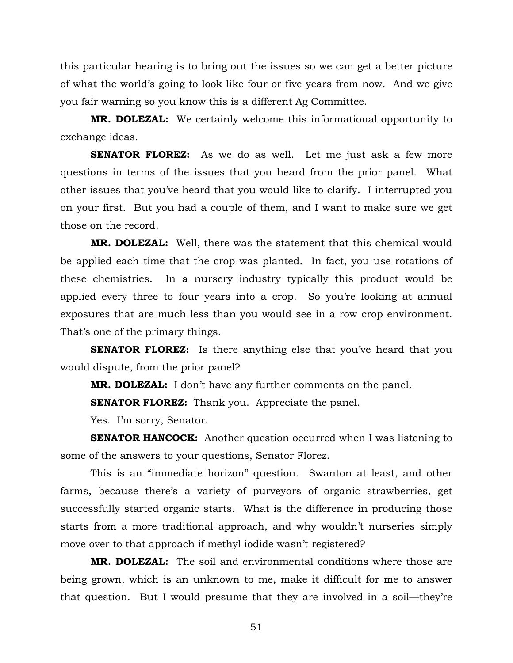this particular hearing is to bring out the issues so we can get a better picture of what the world's going to look like four or five years from now. And we give you fair warning so you know this is a different Ag Committee.

**MR. DOLEZAL:** We certainly welcome this informational opportunity to exchange ideas.

**SENATOR FLOREZ:** As we do as well. Let me just ask a few more questions in terms of the issues that you heard from the prior panel. What other issues that you've heard that you would like to clarify. I interrupted you on your first. But you had a couple of them, and I want to make sure we get those on the record.

**MR. DOLEZAL:** Well, there was the statement that this chemical would be applied each time that the crop was planted. In fact, you use rotations of these chemistries. In a nursery industry typically this product would be applied every three to four years into a crop. So you're looking at annual exposures that are much less than you would see in a row crop environment. That's one of the primary things.

**SENATOR FLOREZ:** Is there anything else that you've heard that you would dispute, from the prior panel?

**MR. DOLEZAL:** I don't have any further comments on the panel.

**SENATOR FLOREZ:** Thank you. Appreciate the panel.

Yes. I'm sorry, Senator.

**SENATOR HANCOCK:** Another question occurred when I was listening to some of the answers to your questions, Senator Florez.

This is an "immediate horizon" question. Swanton at least, and other farms, because there's a variety of purveyors of organic strawberries, get successfully started organic starts. What is the difference in producing those starts from a more traditional approach, and why wouldn't nurseries simply move over to that approach if methyl iodide wasn't registered?

**MR. DOLEZAL:** The soil and environmental conditions where those are being grown, which is an unknown to me, make it difficult for me to answer that question. But I would presume that they are involved in a soil—they're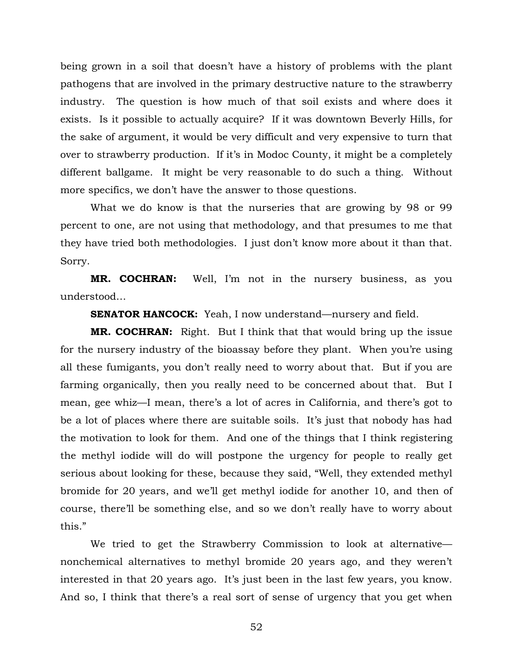being grown in a soil that doesn't have a history of problems with the plant pathogens that are involved in the primary destructive nature to the strawberry industry. The question is how much of that soil exists and where does it exists. Is it possible to actually acquire? If it was downtown Beverly Hills, for the sake of argument, it would be very difficult and very expensive to turn that over to strawberry production. If it's in Modoc County, it might be a completely different ballgame. It might be very reasonable to do such a thing. Without more specifics, we don't have the answer to those questions.

What we do know is that the nurseries that are growing by 98 or 99 percent to one, are not using that methodology, and that presumes to me that they have tried both methodologies. I just don't know more about it than that. Sorry.

**MR. COCHRAN:** Well, I'm not in the nursery business, as you understood…

**SENATOR HANCOCK:** Yeah, I now understand—nursery and field.

**MR. COCHRAN:** Right. But I think that that would bring up the issue for the nursery industry of the bioassay before they plant. When you're using all these fumigants, you don't really need to worry about that. But if you are farming organically, then you really need to be concerned about that. But I mean, gee whiz—I mean, there's a lot of acres in California, and there's got to be a lot of places where there are suitable soils. It's just that nobody has had the motivation to look for them. And one of the things that I think registering the methyl iodide will do will postpone the urgency for people to really get serious about looking for these, because they said, "Well, they extended methyl bromide for 20 years, and we'll get methyl iodide for another 10, and then of course, there'll be something else, and so we don't really have to worry about this."

We tried to get the Strawberry Commission to look at alternative nonchemical alternatives to methyl bromide 20 years ago, and they weren't interested in that 20 years ago. It's just been in the last few years, you know. And so, I think that there's a real sort of sense of urgency that you get when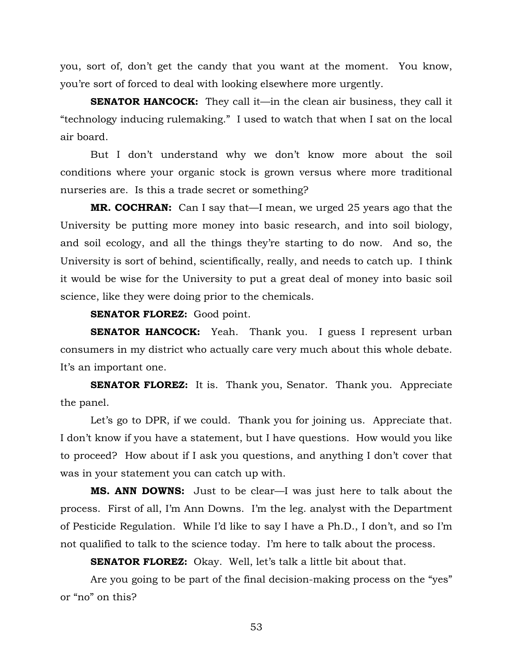you, sort of, don't get the candy that you want at the moment. You know, you're sort of forced to deal with looking elsewhere more urgently.

**SENATOR HANCOCK:** They call it—in the clean air business, they call it "technology inducing rulemaking." I used to watch that when I sat on the local air board.

But I don't understand why we don't know more about the soil conditions where your organic stock is grown versus where more traditional nurseries are. Is this a trade secret or something?

**MR. COCHRAN:** Can I say that—I mean, we urged 25 years ago that the University be putting more money into basic research, and into soil biology, and soil ecology, and all the things they're starting to do now. And so, the University is sort of behind, scientifically, really, and needs to catch up. I think it would be wise for the University to put a great deal of money into basic soil science, like they were doing prior to the chemicals.

**SENATOR FLOREZ:** Good point.

**SENATOR HANCOCK:** Yeah. Thank you. I guess I represent urban consumers in my district who actually care very much about this whole debate. It's an important one.

**SENATOR FLOREZ:** It is. Thank you, Senator. Thank you. Appreciate the panel.

Let's go to DPR, if we could. Thank you for joining us. Appreciate that. I don't know if you have a statement, but I have questions. How would you like to proceed? How about if I ask you questions, and anything I don't cover that was in your statement you can catch up with.

**MS. ANN DOWNS:** Just to be clear—I was just here to talk about the process. First of all, I'm Ann Downs. I'm the leg. analyst with the Department of Pesticide Regulation. While I'd like to say I have a Ph.D., I don't, and so I'm not qualified to talk to the science today. I'm here to talk about the process.

**SENATOR FLOREZ:** Okay. Well, let's talk a little bit about that.

Are you going to be part of the final decision-making process on the "yes" or "no" on this?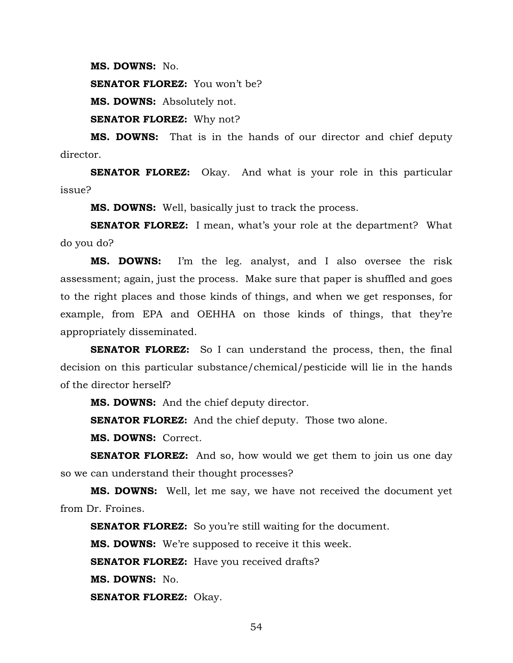**MS. DOWNS:** No.

**SENATOR FLOREZ:** You won't be?

**MS. DOWNS:** Absolutely not.

**SENATOR FLOREZ:** Why not?

**MS. DOWNS:** That is in the hands of our director and chief deputy director.

**SENATOR FLOREZ:** Okay. And what is your role in this particular issue?

**MS. DOWNS:** Well, basically just to track the process.

**SENATOR FLOREZ:** I mean, what's your role at the department? What do you do?

**MS. DOWNS:** I'm the leg. analyst, and I also oversee the risk assessment; again, just the process. Make sure that paper is shuffled and goes to the right places and those kinds of things, and when we get responses, for example, from EPA and OEHHA on those kinds of things, that they're appropriately disseminated.

**SENATOR FLOREZ:** So I can understand the process, then, the final decision on this particular substance/chemical/pesticide will lie in the hands of the director herself?

**MS. DOWNS:** And the chief deputy director.

**SENATOR FLOREZ:** And the chief deputy. Those two alone.

**MS. DOWNS:** Correct.

**SENATOR FLOREZ:** And so, how would we get them to join us one day so we can understand their thought processes?

**MS. DOWNS:** Well, let me say, we have not received the document yet from Dr. Froines.

**SENATOR FLOREZ:** So you're still waiting for the document.

**MS. DOWNS:** We're supposed to receive it this week.

**SENATOR FLOREZ:** Have you received drafts?

**MS. DOWNS:** No.

**SENATOR FLOREZ:** Okay.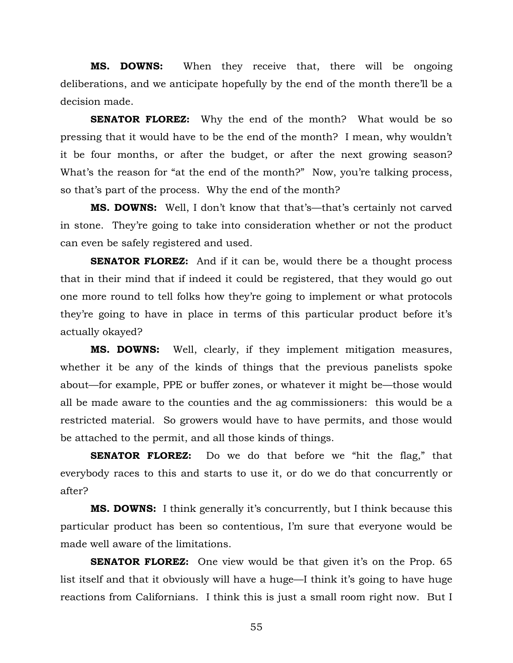**MS. DOWNS:** When they receive that, there will be ongoing deliberations, and we anticipate hopefully by the end of the month there'll be a decision made.

**SENATOR FLOREZ:** Why the end of the month? What would be so pressing that it would have to be the end of the month? I mean, why wouldn't it be four months, or after the budget, or after the next growing season? What's the reason for "at the end of the month?" Now, you're talking process, so that's part of the process. Why the end of the month?

**MS. DOWNS:** Well, I don't know that that's—that's certainly not carved in stone. They're going to take into consideration whether or not the product can even be safely registered and used.

**SENATOR FLOREZ:** And if it can be, would there be a thought process that in their mind that if indeed it could be registered, that they would go out one more round to tell folks how they're going to implement or what protocols they're going to have in place in terms of this particular product before it's actually okayed?

**MS. DOWNS:** Well, clearly, if they implement mitigation measures, whether it be any of the kinds of things that the previous panelists spoke about—for example, PPE or buffer zones, or whatever it might be—those would all be made aware to the counties and the ag commissioners: this would be a restricted material. So growers would have to have permits, and those would be attached to the permit, and all those kinds of things.

**SENATOR FLOREZ:** Do we do that before we "hit the flag," that everybody races to this and starts to use it, or do we do that concurrently or after?

**MS. DOWNS:** I think generally it's concurrently, but I think because this particular product has been so contentious, I'm sure that everyone would be made well aware of the limitations.

**SENATOR FLOREZ:** One view would be that given it's on the Prop. 65 list itself and that it obviously will have a huge—I think it's going to have huge reactions from Californians. I think this is just a small room right now. But I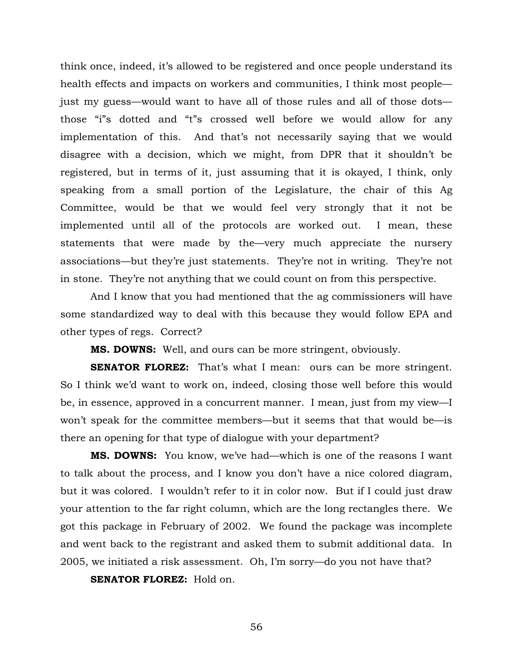think once, indeed, it's allowed to be registered and once people understand its health effects and impacts on workers and communities, I think most people just my guess—would want to have all of those rules and all of those dots those "i"s dotted and "t"s crossed well before we would allow for any implementation of this. And that's not necessarily saying that we would disagree with a decision, which we might, from DPR that it shouldn't be registered, but in terms of it, just assuming that it is okayed, I think, only speaking from a small portion of the Legislature, the chair of this Ag Committee, would be that we would feel very strongly that it not be implemented until all of the protocols are worked out. I mean, these statements that were made by the—very much appreciate the nursery associations—but they're just statements. They're not in writing. They're not in stone. They're not anything that we could count on from this perspective.

And I know that you had mentioned that the ag commissioners will have some standardized way to deal with this because they would follow EPA and other types of regs. Correct?

**MS. DOWNS:** Well, and ours can be more stringent, obviously.

**SENATOR FLOREZ:** That's what I mean: ours can be more stringent. So I think we'd want to work on, indeed, closing those well before this would be, in essence, approved in a concurrent manner. I mean, just from my view—I won't speak for the committee members—but it seems that that would be—is there an opening for that type of dialogue with your department?

**MS. DOWNS:** You know, we've had—which is one of the reasons I want to talk about the process, and I know you don't have a nice colored diagram, but it was colored. I wouldn't refer to it in color now. But if I could just draw your attention to the far right column, which are the long rectangles there. We got this package in February of 2002. We found the package was incomplete and went back to the registrant and asked them to submit additional data. In 2005, we initiated a risk assessment. Oh, I'm sorry—do you not have that?

**SENATOR FLOREZ:** Hold on.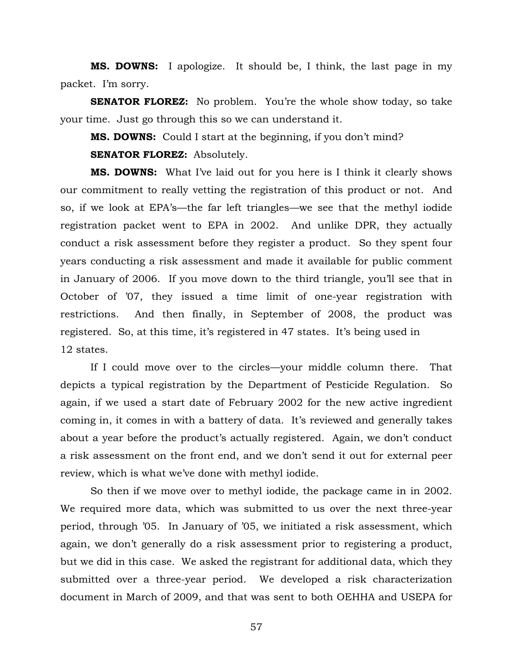**MS. DOWNS:** I apologize. It should be, I think, the last page in my packet. I'm sorry.

**SENATOR FLOREZ:** No problem. You're the whole show today, so take your time. Just go through this so we can understand it.

**MS. DOWNS:** Could I start at the beginning, if you don't mind?

**SENATOR FLOREZ:** Absolutely.

**MS. DOWNS:** What I've laid out for you here is I think it clearly shows our commitment to really vetting the registration of this product or not. And so, if we look at EPA's—the far left triangles—we see that the methyl iodide registration packet went to EPA in 2002. And unlike DPR, they actually conduct a risk assessment before they register a product. So they spent four years conducting a risk assessment and made it available for public comment in January of 2006. If you move down to the third triangle, you'll see that in October of '07, they issued a time limit of one-year registration with restrictions. And then finally, in September of 2008, the product was registered. So, at this time, it's registered in 47 states. It's being used in 12 states.

If I could move over to the circles—your middle column there. That depicts a typical registration by the Department of Pesticide Regulation. So again, if we used a start date of February 2002 for the new active ingredient coming in, it comes in with a battery of data. It's reviewed and generally takes about a year before the product's actually registered. Again, we don't conduct a risk assessment on the front end, and we don't send it out for external peer review, which is what we've done with methyl iodide.

So then if we move over to methyl iodide, the package came in in 2002. We required more data, which was submitted to us over the next three-year period, through '05. In January of '05, we initiated a risk assessment, which again, we don't generally do a risk assessment prior to registering a product, but we did in this case. We asked the registrant for additional data, which they submitted over a three-year period. We developed a risk characterization document in March of 2009, and that was sent to both OEHHA and USEPA for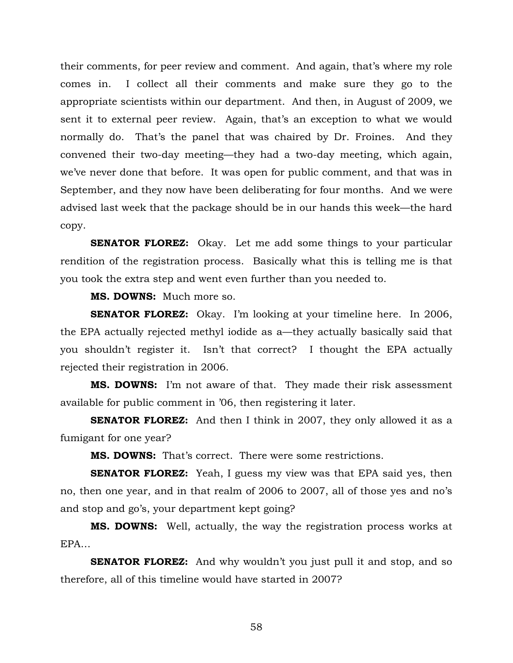their comments, for peer review and comment. And again, that's where my role comes in. I collect all their comments and make sure they go to the appropriate scientists within our department. And then, in August of 2009, we sent it to external peer review. Again, that's an exception to what we would normally do. That's the panel that was chaired by Dr. Froines. And they convened their two-day meeting—they had a two-day meeting, which again, we've never done that before. It was open for public comment, and that was in September, and they now have been deliberating for four months. And we were advised last week that the package should be in our hands this week—the hard copy.

**SENATOR FLOREZ:** Okay. Let me add some things to your particular rendition of the registration process. Basically what this is telling me is that you took the extra step and went even further than you needed to.

**MS. DOWNS:** Much more so.

**SENATOR FLOREZ:** Okay. I'm looking at your timeline here. In 2006, the EPA actually rejected methyl iodide as a—they actually basically said that you shouldn't register it. Isn't that correct? I thought the EPA actually rejected their registration in 2006.

**MS. DOWNS:** I'm not aware of that. They made their risk assessment available for public comment in '06, then registering it later.

**SENATOR FLOREZ:** And then I think in 2007, they only allowed it as a fumigant for one year?

**MS. DOWNS:** That's correct. There were some restrictions.

**SENATOR FLOREZ:** Yeah, I guess my view was that EPA said yes, then no, then one year, and in that realm of 2006 to 2007, all of those yes and no's and stop and go's, your department kept going?

**MS. DOWNS:** Well, actually, the way the registration process works at EPA…

**SENATOR FLOREZ:** And why wouldn't you just pull it and stop, and so therefore, all of this timeline would have started in 2007?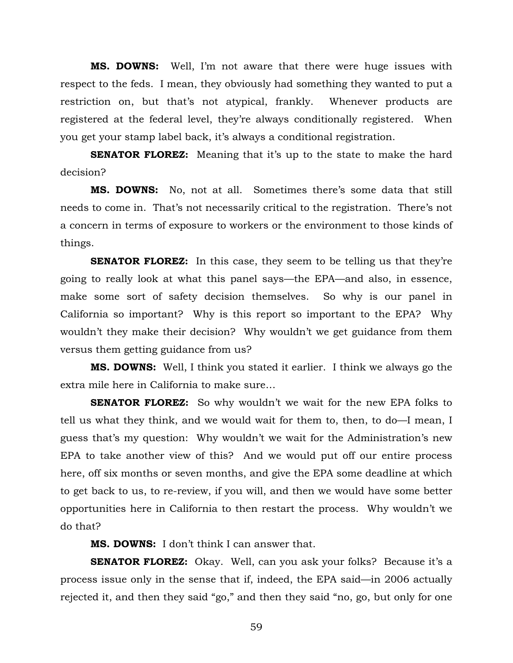**MS. DOWNS:** Well, I'm not aware that there were huge issues with respect to the feds. I mean, they obviously had something they wanted to put a restriction on, but that's not atypical, frankly. Whenever products are registered at the federal level, they're always conditionally registered. When you get your stamp label back, it's always a conditional registration.

**SENATOR FLOREZ:** Meaning that it's up to the state to make the hard decision?

**MS. DOWNS:** No, not at all. Sometimes there's some data that still needs to come in. That's not necessarily critical to the registration. There's not a concern in terms of exposure to workers or the environment to those kinds of things.

**SENATOR FLOREZ:** In this case, they seem to be telling us that they're going to really look at what this panel says—the EPA—and also, in essence, make some sort of safety decision themselves. So why is our panel in California so important? Why is this report so important to the EPA? Why wouldn't they make their decision? Why wouldn't we get guidance from them versus them getting guidance from us?

**MS. DOWNS:** Well, I think you stated it earlier. I think we always go the extra mile here in California to make sure…

**SENATOR FLOREZ:** So why wouldn't we wait for the new EPA folks to tell us what they think, and we would wait for them to, then, to do—I mean, I guess that's my question: Why wouldn't we wait for the Administration's new EPA to take another view of this? And we would put off our entire process here, off six months or seven months, and give the EPA some deadline at which to get back to us, to re-review, if you will, and then we would have some better opportunities here in California to then restart the process. Why wouldn't we do that?

**MS. DOWNS:** I don't think I can answer that.

**SENATOR FLOREZ:** Okay. Well, can you ask your folks? Because it's a process issue only in the sense that if, indeed, the EPA said—in 2006 actually rejected it, and then they said "go," and then they said "no, go, but only for one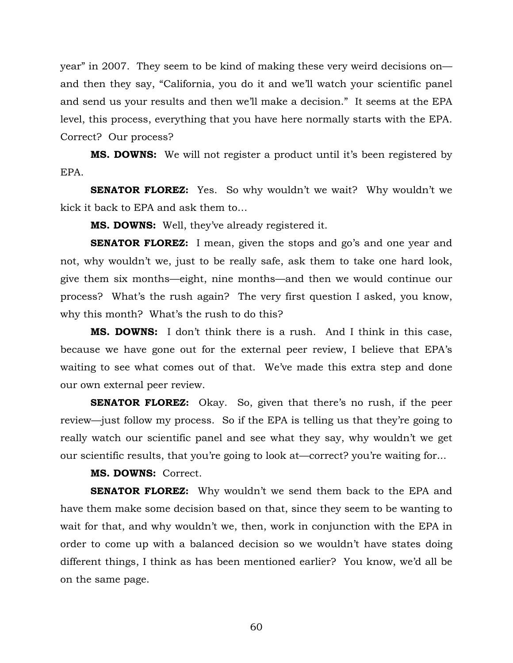year" in 2007. They seem to be kind of making these very weird decisions on and then they say, "California, you do it and we'll watch your scientific panel and send us your results and then we'll make a decision." It seems at the EPA level, this process, everything that you have here normally starts with the EPA. Correct? Our process?

**MS. DOWNS:** We will not register a product until it's been registered by EPA.

**SENATOR FLOREZ:** Yes. So why wouldn't we wait? Why wouldn't we kick it back to EPA and ask them to…

**MS. DOWNS:** Well, they've already registered it.

**SENATOR FLOREZ:** I mean, given the stops and go's and one year and not, why wouldn't we, just to be really safe, ask them to take one hard look, give them six months—eight, nine months—and then we would continue our process? What's the rush again? The very first question I asked, you know, why this month? What's the rush to do this?

**MS. DOWNS:** I don't think there is a rush. And I think in this case, because we have gone out for the external peer review, I believe that EPA's waiting to see what comes out of that. We've made this extra step and done our own external peer review.

**SENATOR FLOREZ:** Okay. So, given that there's no rush, if the peer review—just follow my process. So if the EPA is telling us that they're going to really watch our scientific panel and see what they say, why wouldn't we get our scientific results, that you're going to look at—correct? you're waiting for...

**MS. DOWNS:** Correct.

**SENATOR FLOREZ:** Why wouldn't we send them back to the EPA and have them make some decision based on that, since they seem to be wanting to wait for that, and why wouldn't we, then, work in conjunction with the EPA in order to come up with a balanced decision so we wouldn't have states doing different things, I think as has been mentioned earlier? You know, we'd all be on the same page.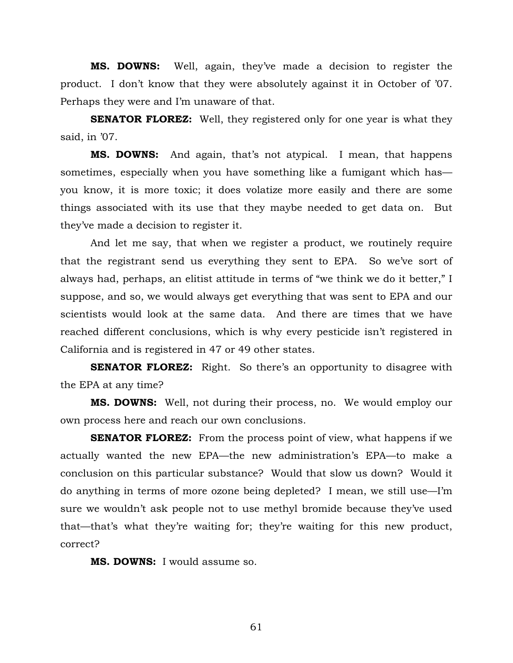**MS. DOWNS:** Well, again, they've made a decision to register the product. I don't know that they were absolutely against it in October of '07. Perhaps they were and I'm unaware of that.

**SENATOR FLOREZ:** Well, they registered only for one year is what they said, in '07.

**MS. DOWNS:** And again, that's not atypical. I mean, that happens sometimes, especially when you have something like a fumigant which has you know, it is more toxic; it does volatize more easily and there are some things associated with its use that they maybe needed to get data on. But they've made a decision to register it.

And let me say, that when we register a product, we routinely require that the registrant send us everything they sent to EPA. So we've sort of always had, perhaps, an elitist attitude in terms of "we think we do it better," I suppose, and so, we would always get everything that was sent to EPA and our scientists would look at the same data. And there are times that we have reached different conclusions, which is why every pesticide isn't registered in California and is registered in 47 or 49 other states.

**SENATOR FLOREZ:** Right. So there's an opportunity to disagree with the EPA at any time?

**MS. DOWNS:** Well, not during their process, no. We would employ our own process here and reach our own conclusions.

**SENATOR FLOREZ:** From the process point of view, what happens if we actually wanted the new EPA—the new administration's EPA—to make a conclusion on this particular substance? Would that slow us down? Would it do anything in terms of more ozone being depleted? I mean, we still use—I'm sure we wouldn't ask people not to use methyl bromide because they've used that—that's what they're waiting for; they're waiting for this new product, correct?

**MS. DOWNS:** I would assume so.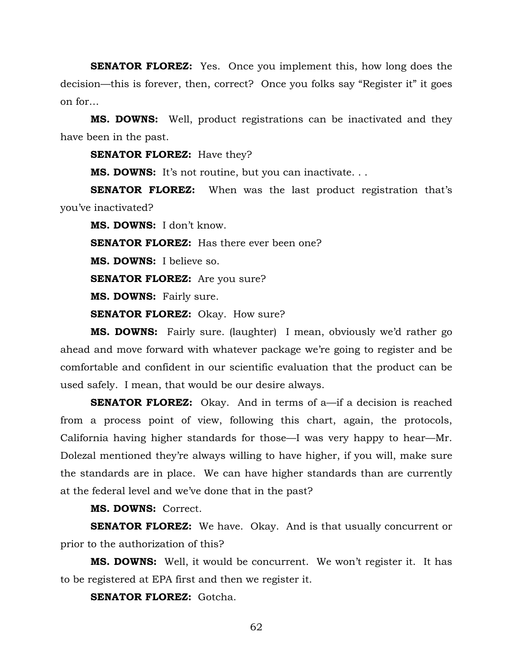**SENATOR FLOREZ:** Yes. Once you implement this, how long does the decision—this is forever, then, correct? Once you folks say "Register it" it goes on for…

**MS. DOWNS:** Well, product registrations can be inactivated and they have been in the past.

**SENATOR FLOREZ:** Have they?

**MS. DOWNS:** It's not routine, but you can inactivate. . .

**SENATOR FLOREZ:** When was the last product registration that's you've inactivated?

**MS. DOWNS:** I don't know.

**SENATOR FLOREZ:** Has there ever been one?

**MS. DOWNS:** I believe so.

**SENATOR FLOREZ:** Are you sure?

**MS. DOWNS:** Fairly sure.

**SENATOR FLOREZ:** Okay. How sure?

**MS. DOWNS:** Fairly sure. (laughter) I mean, obviously we'd rather go ahead and move forward with whatever package we're going to register and be comfortable and confident in our scientific evaluation that the product can be used safely. I mean, that would be our desire always.

**SENATOR FLOREZ:** Okay. And in terms of a—if a decision is reached from a process point of view, following this chart, again, the protocols, California having higher standards for those—I was very happy to hear—Mr. Dolezal mentioned they're always willing to have higher, if you will, make sure the standards are in place. We can have higher standards than are currently at the federal level and we've done that in the past?

**MS. DOWNS:** Correct.

**SENATOR FLOREZ:** We have. Okay. And is that usually concurrent or prior to the authorization of this?

**MS. DOWNS:** Well, it would be concurrent. We won't register it. It has to be registered at EPA first and then we register it.

**SENATOR FLOREZ:** Gotcha.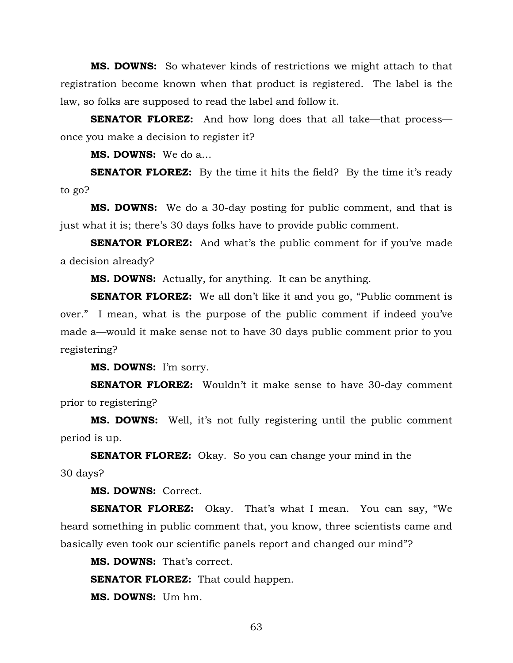**MS. DOWNS:** So whatever kinds of restrictions we might attach to that registration become known when that product is registered. The label is the law, so folks are supposed to read the label and follow it.

**SENATOR FLOREZ:** And how long does that all take—that process once you make a decision to register it?

**MS. DOWNS:** We do a…

**SENATOR FLOREZ:** By the time it hits the field? By the time it's ready to go?

**MS. DOWNS:** We do a 30-day posting for public comment, and that is just what it is; there's 30 days folks have to provide public comment.

**SENATOR FLOREZ:** And what's the public comment for if you've made a decision already?

**MS. DOWNS:** Actually, for anything. It can be anything.

**SENATOR FLOREZ:** We all don't like it and you go, "Public comment is over." I mean, what is the purpose of the public comment if indeed you've made a—would it make sense not to have 30 days public comment prior to you registering?

**MS. DOWNS:** I'm sorry.

**SENATOR FLOREZ:** Wouldn't it make sense to have 30-day comment prior to registering?

**MS. DOWNS:** Well, it's not fully registering until the public comment period is up.

**SENATOR FLOREZ:** Okay. So you can change your mind in the 30 days?

**MS. DOWNS:** Correct.

**SENATOR FLOREZ:** Okay. That's what I mean. You can say, "We heard something in public comment that, you know, three scientists came and basically even took our scientific panels report and changed our mind"?

**MS. DOWNS:** That's correct.

**SENATOR FLOREZ:** That could happen.

**MS. DOWNS:** Um hm.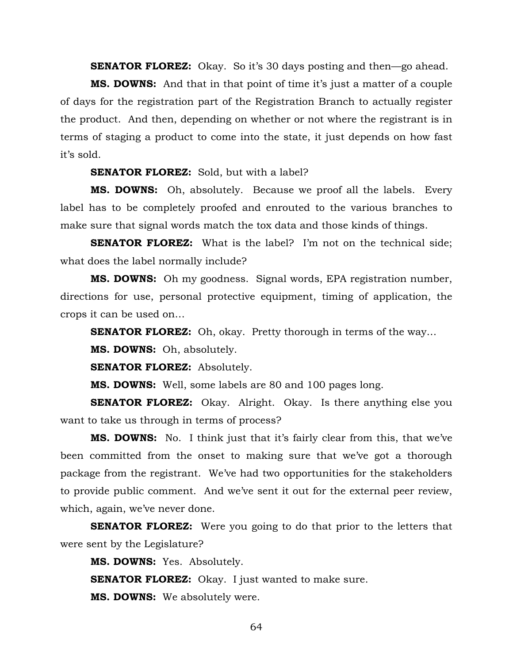**SENATOR FLOREZ:** Okay. So it's 30 days posting and then—go ahead.

**MS. DOWNS:** And that in that point of time it's just a matter of a couple of days for the registration part of the Registration Branch to actually register the product. And then, depending on whether or not where the registrant is in terms of staging a product to come into the state, it just depends on how fast it's sold.

**SENATOR FLOREZ:** Sold, but with a label?

**MS. DOWNS:** Oh, absolutely. Because we proof all the labels. Every label has to be completely proofed and enrouted to the various branches to make sure that signal words match the tox data and those kinds of things.

**SENATOR FLOREZ:** What is the label? I'm not on the technical side; what does the label normally include?

**MS. DOWNS:** Oh my goodness. Signal words, EPA registration number, directions for use, personal protective equipment, timing of application, the crops it can be used on…

**SENATOR FLOREZ:** Oh, okay. Pretty thorough in terms of the way...

**MS. DOWNS:** Oh, absolutely.

**SENATOR FLOREZ:** Absolutely.

**MS. DOWNS:** Well, some labels are 80 and 100 pages long.

**SENATOR FLOREZ:** Okay. Alright. Okay. Is there anything else you want to take us through in terms of process?

**MS. DOWNS:** No. I think just that it's fairly clear from this, that we've been committed from the onset to making sure that we've got a thorough package from the registrant. We've had two opportunities for the stakeholders to provide public comment. And we've sent it out for the external peer review, which, again, we've never done.

**SENATOR FLOREZ:** Were you going to do that prior to the letters that were sent by the Legislature?

**MS. DOWNS:** Yes. Absolutely.

**SENATOR FLOREZ:** Okay. I just wanted to make sure.

**MS. DOWNS:** We absolutely were.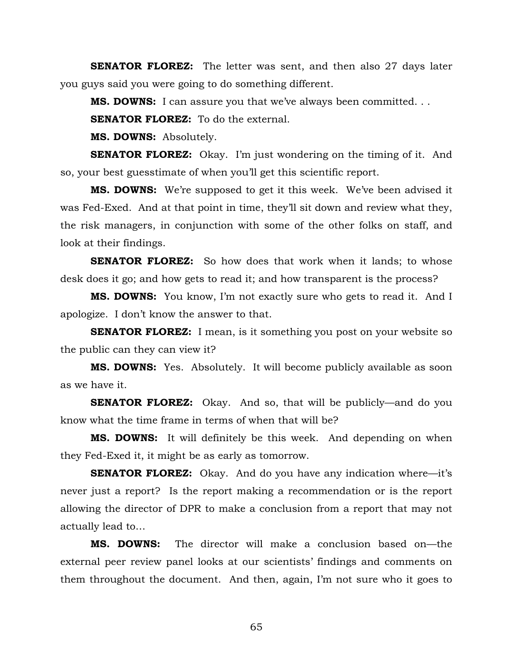**SENATOR FLOREZ:** The letter was sent, and then also 27 days later you guys said you were going to do something different.

**MS. DOWNS:** I can assure you that we've always been committed. . .

**SENATOR FLOREZ:** To do the external.

**MS. DOWNS:** Absolutely.

**SENATOR FLOREZ:** Okay. I'm just wondering on the timing of it. And so, your best guesstimate of when you'll get this scientific report.

**MS. DOWNS:** We're supposed to get it this week. We've been advised it was Fed-Exed. And at that point in time, they'll sit down and review what they, the risk managers, in conjunction with some of the other folks on staff, and look at their findings.

**SENATOR FLOREZ:** So how does that work when it lands; to whose desk does it go; and how gets to read it; and how transparent is the process?

**MS. DOWNS:** You know, I'm not exactly sure who gets to read it. And I apologize. I don't know the answer to that.

**SENATOR FLOREZ:** I mean, is it something you post on your website so the public can they can view it?

**MS. DOWNS:** Yes. Absolutely. It will become publicly available as soon as we have it.

**SENATOR FLOREZ:** Okay. And so, that will be publicly—and do you know what the time frame in terms of when that will be?

**MS. DOWNS:** It will definitely be this week. And depending on when they Fed-Exed it, it might be as early as tomorrow.

**SENATOR FLOREZ:** Okay. And do you have any indication where—it's never just a report? Is the report making a recommendation or is the report allowing the director of DPR to make a conclusion from a report that may not actually lead to…

**MS. DOWNS:** The director will make a conclusion based on—the external peer review panel looks at our scientists' findings and comments on them throughout the document. And then, again, I'm not sure who it goes to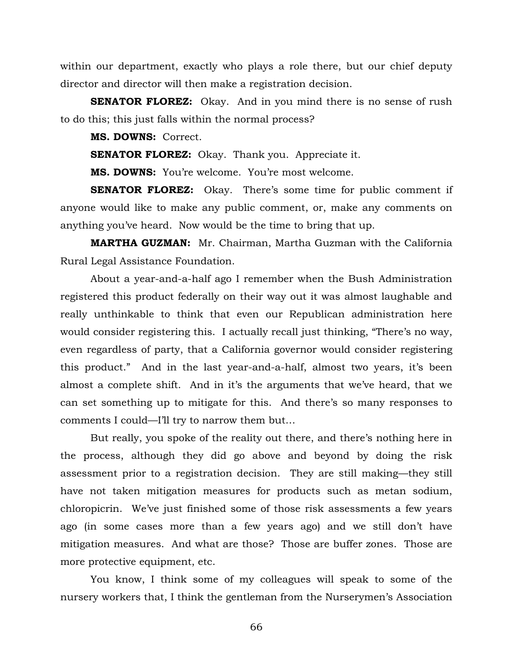within our department, exactly who plays a role there, but our chief deputy director and director will then make a registration decision.

**SENATOR FLOREZ:** Okay. And in you mind there is no sense of rush to do this; this just falls within the normal process?

**MS. DOWNS:** Correct.

**SENATOR FLOREZ:** Okay. Thank you. Appreciate it.

**MS. DOWNS:** You're welcome. You're most welcome.

**SENATOR FLOREZ:** Okay. There's some time for public comment if anyone would like to make any public comment, or, make any comments on anything you've heard. Now would be the time to bring that up.

**MARTHA GUZMAN:** Mr. Chairman, Martha Guzman with the California Rural Legal Assistance Foundation.

About a year-and-a-half ago I remember when the Bush Administration registered this product federally on their way out it was almost laughable and really unthinkable to think that even our Republican administration here would consider registering this. I actually recall just thinking, "There's no way, even regardless of party, that a California governor would consider registering this product." And in the last year-and-a-half, almost two years, it's been almost a complete shift. And in it's the arguments that we've heard, that we can set something up to mitigate for this. And there's so many responses to comments I could—I'll try to narrow them but…

But really, you spoke of the reality out there, and there's nothing here in the process, although they did go above and beyond by doing the risk assessment prior to a registration decision. They are still making—they still have not taken mitigation measures for products such as metan sodium, chloropicrin. We've just finished some of those risk assessments a few years ago (in some cases more than a few years ago) and we still don't have mitigation measures. And what are those? Those are buffer zones. Those are more protective equipment, etc.

You know, I think some of my colleagues will speak to some of the nursery workers that, I think the gentleman from the Nurserymen's Association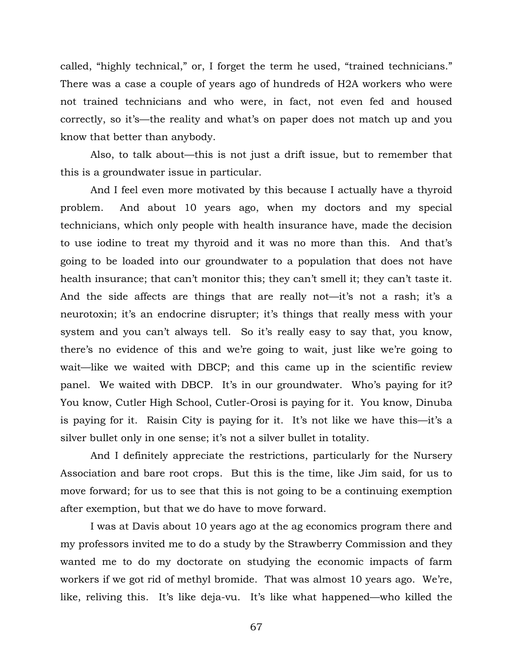called, "highly technical," or, I forget the term he used, "trained technicians." There was a case a couple of years ago of hundreds of H2A workers who were not trained technicians and who were, in fact, not even fed and housed correctly, so it's—the reality and what's on paper does not match up and you know that better than anybody.

Also, to talk about—this is not just a drift issue, but to remember that this is a groundwater issue in particular.

And I feel even more motivated by this because I actually have a thyroid problem. And about 10 years ago, when my doctors and my special technicians, which only people with health insurance have, made the decision to use iodine to treat my thyroid and it was no more than this. And that's going to be loaded into our groundwater to a population that does not have health insurance; that can't monitor this; they can't smell it; they can't taste it. And the side affects are things that are really not—it's not a rash; it's a neurotoxin; it's an endocrine disrupter; it's things that really mess with your system and you can't always tell. So it's really easy to say that, you know, there's no evidence of this and we're going to wait, just like we're going to wait—like we waited with DBCP; and this came up in the scientific review panel. We waited with DBCP. It's in our groundwater. Who's paying for it? You know, Cutler High School, Cutler-Orosi is paying for it. You know, Dinuba is paying for it. Raisin City is paying for it. It's not like we have this—it's a silver bullet only in one sense; it's not a silver bullet in totality.

And I definitely appreciate the restrictions, particularly for the Nursery Association and bare root crops. But this is the time, like Jim said, for us to move forward; for us to see that this is not going to be a continuing exemption after exemption, but that we do have to move forward.

I was at Davis about 10 years ago at the ag economics program there and my professors invited me to do a study by the Strawberry Commission and they wanted me to do my doctorate on studying the economic impacts of farm workers if we got rid of methyl bromide. That was almost 10 years ago. We're, like, reliving this. It's like deja-vu. It's like what happened—who killed the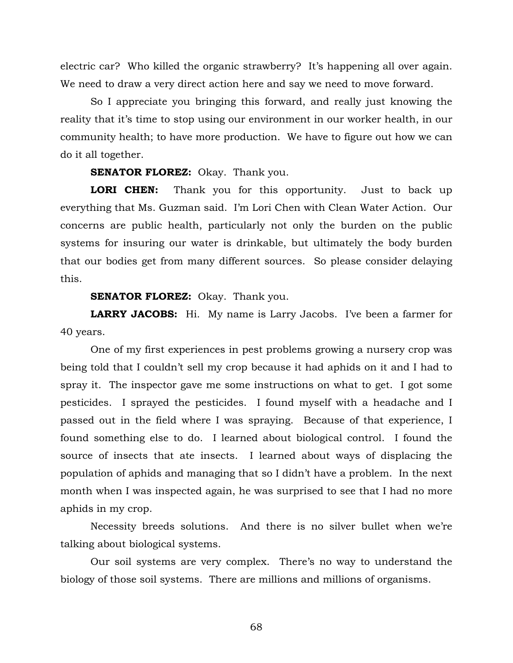electric car? Who killed the organic strawberry? It's happening all over again. We need to draw a very direct action here and say we need to move forward.

So I appreciate you bringing this forward, and really just knowing the reality that it's time to stop using our environment in our worker health, in our community health; to have more production. We have to figure out how we can do it all together.

## **SENATOR FLOREZ:** Okay. Thank you.

**LORI CHEN:** Thank you for this opportunity. Just to back up everything that Ms. Guzman said. I'm Lori Chen with Clean Water Action. Our concerns are public health, particularly not only the burden on the public systems for insuring our water is drinkable, but ultimately the body burden that our bodies get from many different sources. So please consider delaying this.

## **SENATOR FLOREZ:** Okay. Thank you.

**LARRY JACOBS:** Hi. My name is Larry Jacobs. I've been a farmer for 40 years.

One of my first experiences in pest problems growing a nursery crop was being told that I couldn't sell my crop because it had aphids on it and I had to spray it. The inspector gave me some instructions on what to get. I got some pesticides. I sprayed the pesticides. I found myself with a headache and I passed out in the field where I was spraying. Because of that experience, I found something else to do. I learned about biological control. I found the source of insects that ate insects. I learned about ways of displacing the population of aphids and managing that so I didn't have a problem. In the next month when I was inspected again, he was surprised to see that I had no more aphids in my crop.

Necessity breeds solutions. And there is no silver bullet when we're talking about biological systems.

Our soil systems are very complex. There's no way to understand the biology of those soil systems. There are millions and millions of organisms.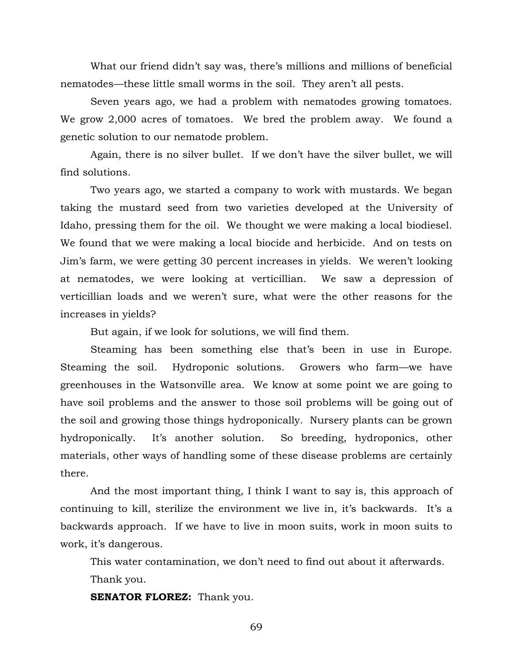What our friend didn't say was, there's millions and millions of beneficial nematodes—these little small worms in the soil. They aren't all pests.

Seven years ago, we had a problem with nematodes growing tomatoes. We grow 2,000 acres of tomatoes. We bred the problem away. We found a genetic solution to our nematode problem.

Again, there is no silver bullet. If we don't have the silver bullet, we will find solutions.

Two years ago, we started a company to work with mustards. We began taking the mustard seed from two varieties developed at the University of Idaho, pressing them for the oil. We thought we were making a local biodiesel. We found that we were making a local biocide and herbicide. And on tests on Jim's farm, we were getting 30 percent increases in yields. We weren't looking at nematodes, we were looking at verticillian. We saw a depression of verticillian loads and we weren't sure, what were the other reasons for the increases in yields?

But again, if we look for solutions, we will find them.

Steaming has been something else that's been in use in Europe. Steaming the soil. Hydroponic solutions. Growers who farm—we have greenhouses in the Watsonville area. We know at some point we are going to have soil problems and the answer to those soil problems will be going out of the soil and growing those things hydroponically. Nursery plants can be grown hydroponically. It's another solution. So breeding, hydroponics, other materials, other ways of handling some of these disease problems are certainly there.

And the most important thing, I think I want to say is, this approach of continuing to kill, sterilize the environment we live in, it's backwards. It's a backwards approach. If we have to live in moon suits, work in moon suits to work, it's dangerous.

This water contamination, we don't need to find out about it afterwards. Thank you.

**SENATOR FLOREZ:** Thank you.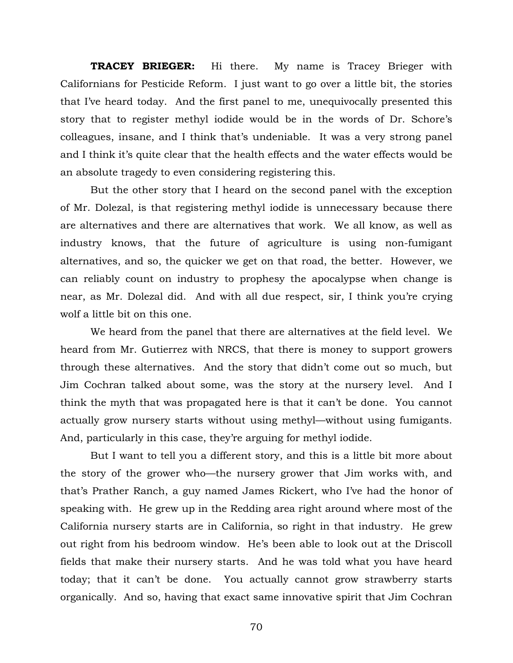**TRACEY BRIEGER:** Hi there. My name is Tracey Brieger with Californians for Pesticide Reform. I just want to go over a little bit, the stories that I've heard today. And the first panel to me, unequivocally presented this story that to register methyl iodide would be in the words of Dr. Schore's colleagues, insane, and I think that's undeniable. It was a very strong panel and I think it's quite clear that the health effects and the water effects would be an absolute tragedy to even considering registering this.

But the other story that I heard on the second panel with the exception of Mr. Dolezal, is that registering methyl iodide is unnecessary because there are alternatives and there are alternatives that work. We all know, as well as industry knows, that the future of agriculture is using non-fumigant alternatives, and so, the quicker we get on that road, the better. However, we can reliably count on industry to prophesy the apocalypse when change is near, as Mr. Dolezal did. And with all due respect, sir, I think you're crying wolf a little bit on this one.

We heard from the panel that there are alternatives at the field level. We heard from Mr. Gutierrez with NRCS, that there is money to support growers through these alternatives. And the story that didn't come out so much, but Jim Cochran talked about some, was the story at the nursery level. And I think the myth that was propagated here is that it can't be done. You cannot actually grow nursery starts without using methyl—without using fumigants. And, particularly in this case, they're arguing for methyl iodide.

But I want to tell you a different story, and this is a little bit more about the story of the grower who—the nursery grower that Jim works with, and that's Prather Ranch, a guy named James Rickert, who I've had the honor of speaking with. He grew up in the Redding area right around where most of the California nursery starts are in California, so right in that industry. He grew out right from his bedroom window. He's been able to look out at the Driscoll fields that make their nursery starts. And he was told what you have heard today; that it can't be done. You actually cannot grow strawberry starts organically. And so, having that exact same innovative spirit that Jim Cochran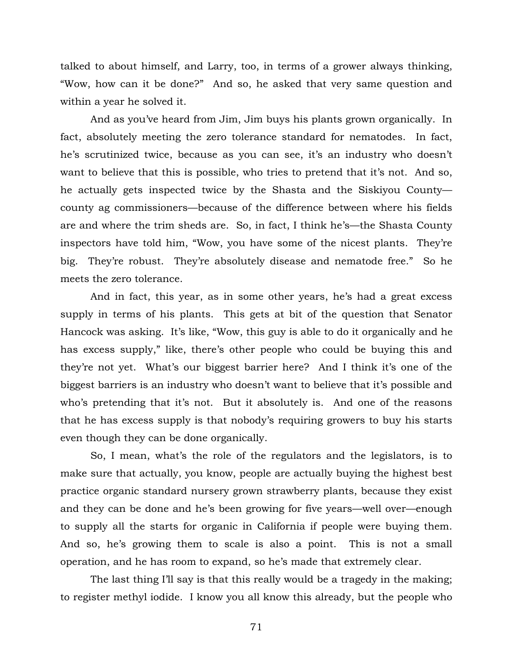talked to about himself, and Larry, too, in terms of a grower always thinking, "Wow, how can it be done?" And so, he asked that very same question and within a year he solved it.

And as you've heard from Jim, Jim buys his plants grown organically. In fact, absolutely meeting the zero tolerance standard for nematodes. In fact, he's scrutinized twice, because as you can see, it's an industry who doesn't want to believe that this is possible, who tries to pretend that it's not. And so, he actually gets inspected twice by the Shasta and the Siskiyou County county ag commissioners—because of the difference between where his fields are and where the trim sheds are. So, in fact, I think he's—the Shasta County inspectors have told him, "Wow, you have some of the nicest plants. They're big. They're robust. They're absolutely disease and nematode free." So he meets the zero tolerance.

And in fact, this year, as in some other years, he's had a great excess supply in terms of his plants. This gets at bit of the question that Senator Hancock was asking. It's like, "Wow, this guy is able to do it organically and he has excess supply," like, there's other people who could be buying this and they're not yet. What's our biggest barrier here? And I think it's one of the biggest barriers is an industry who doesn't want to believe that it's possible and who's pretending that it's not. But it absolutely is. And one of the reasons that he has excess supply is that nobody's requiring growers to buy his starts even though they can be done organically.

So, I mean, what's the role of the regulators and the legislators, is to make sure that actually, you know, people are actually buying the highest best practice organic standard nursery grown strawberry plants, because they exist and they can be done and he's been growing for five years—well over—enough to supply all the starts for organic in California if people were buying them. And so, he's growing them to scale is also a point. This is not a small operation, and he has room to expand, so he's made that extremely clear.

The last thing I'll say is that this really would be a tragedy in the making; to register methyl iodide. I know you all know this already, but the people who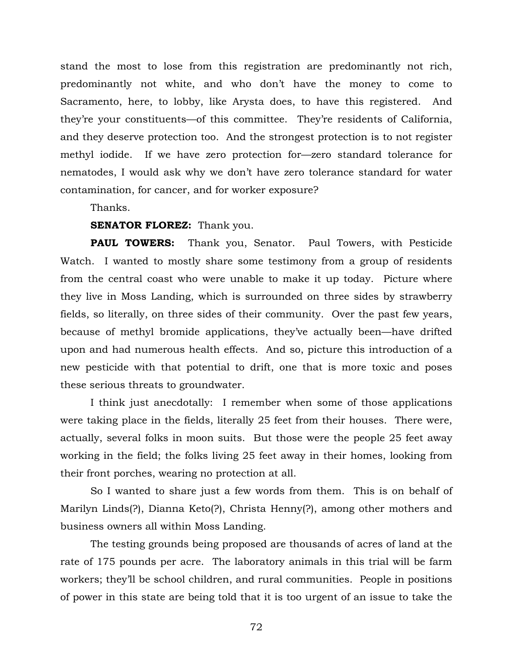stand the most to lose from this registration are predominantly not rich, predominantly not white, and who don't have the money to come to Sacramento, here, to lobby, like Arysta does, to have this registered. And they're your constituents—of this committee. They're residents of California, and they deserve protection too. And the strongest protection is to not register methyl iodide. If we have zero protection for—zero standard tolerance for nematodes, I would ask why we don't have zero tolerance standard for water contamination, for cancer, and for worker exposure?

Thanks.

## **SENATOR FLOREZ:** Thank you.

**PAUL TOWERS:** Thank you, Senator. Paul Towers, with Pesticide Watch. I wanted to mostly share some testimony from a group of residents from the central coast who were unable to make it up today. Picture where they live in Moss Landing, which is surrounded on three sides by strawberry fields, so literally, on three sides of their community. Over the past few years, because of methyl bromide applications, they've actually been—have drifted upon and had numerous health effects. And so, picture this introduction of a new pesticide with that potential to drift, one that is more toxic and poses these serious threats to groundwater.

I think just anecdotally: I remember when some of those applications were taking place in the fields, literally 25 feet from their houses. There were, actually, several folks in moon suits. But those were the people 25 feet away working in the field; the folks living 25 feet away in their homes, looking from their front porches, wearing no protection at all.

So I wanted to share just a few words from them. This is on behalf of Marilyn Linds(?), Dianna Keto(?), Christa Henny(?), among other mothers and business owners all within Moss Landing.

The testing grounds being proposed are thousands of acres of land at the rate of 175 pounds per acre. The laboratory animals in this trial will be farm workers; they'll be school children, and rural communities. People in positions of power in this state are being told that it is too urgent of an issue to take the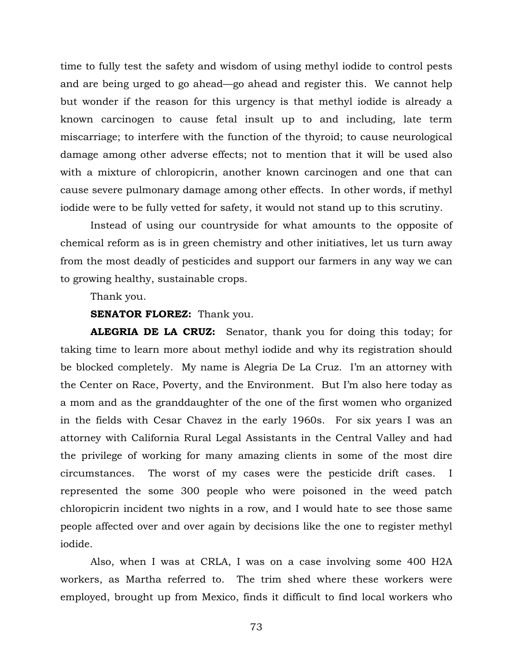time to fully test the safety and wisdom of using methyl iodide to control pests and are being urged to go ahead—go ahead and register this. We cannot help but wonder if the reason for this urgency is that methyl iodide is already a known carcinogen to cause fetal insult up to and including, late term miscarriage; to interfere with the function of the thyroid; to cause neurological damage among other adverse effects; not to mention that it will be used also with a mixture of chloropicrin, another known carcinogen and one that can cause severe pulmonary damage among other effects. In other words, if methyl iodide were to be fully vetted for safety, it would not stand up to this scrutiny.

Instead of using our countryside for what amounts to the opposite of chemical reform as is in green chemistry and other initiatives, let us turn away from the most deadly of pesticides and support our farmers in any way we can to growing healthy, sustainable crops.

Thank you.

## **SENATOR FLOREZ:** Thank you.

**ALEGRIA DE LA CRUZ:** Senator, thank you for doing this today; for taking time to learn more about methyl iodide and why its registration should be blocked completely. My name is Alegria De La Cruz. I'm an attorney with the Center on Race, Poverty, and the Environment. But I'm also here today as a mom and as the granddaughter of the one of the first women who organized in the fields with Cesar Chavez in the early 1960s. For six years I was an attorney with California Rural Legal Assistants in the Central Valley and had the privilege of working for many amazing clients in some of the most dire circumstances. The worst of my cases were the pesticide drift cases. I represented the some 300 people who were poisoned in the weed patch chloropicrin incident two nights in a row, and I would hate to see those same people affected over and over again by decisions like the one to register methyl iodide.

Also, when I was at CRLA, I was on a case involving some 400 H2A workers, as Martha referred to. The trim shed where these workers were employed, brought up from Mexico, finds it difficult to find local workers who

73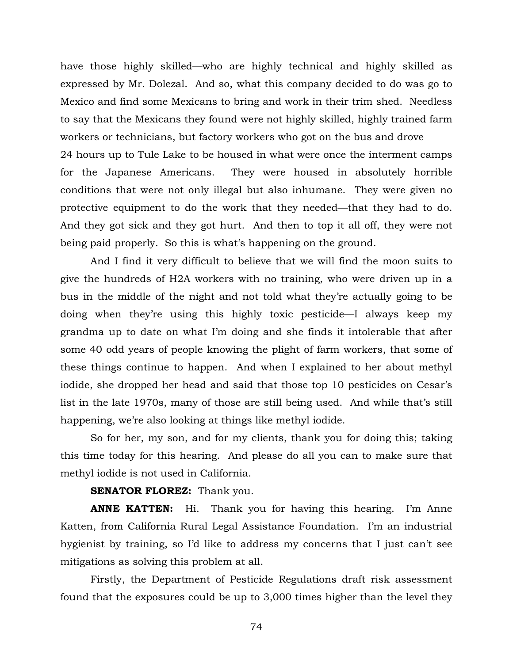have those highly skilled—who are highly technical and highly skilled as expressed by Mr. Dolezal. And so, what this company decided to do was go to Mexico and find some Mexicans to bring and work in their trim shed. Needless to say that the Mexicans they found were not highly skilled, highly trained farm workers or technicians, but factory workers who got on the bus and drove 24 hours up to Tule Lake to be housed in what were once the interment camps for the Japanese Americans. They were housed in absolutely horrible conditions that were not only illegal but also inhumane. They were given no protective equipment to do the work that they needed—that they had to do. And they got sick and they got hurt. And then to top it all off, they were not being paid properly. So this is what's happening on the ground.

And I find it very difficult to believe that we will find the moon suits to give the hundreds of H2A workers with no training, who were driven up in a bus in the middle of the night and not told what they're actually going to be doing when they're using this highly toxic pesticide—I always keep my grandma up to date on what I'm doing and she finds it intolerable that after some 40 odd years of people knowing the plight of farm workers, that some of these things continue to happen. And when I explained to her about methyl iodide, she dropped her head and said that those top 10 pesticides on Cesar's list in the late 1970s, many of those are still being used. And while that's still happening, we're also looking at things like methyl iodide.

So for her, my son, and for my clients, thank you for doing this; taking this time today for this hearing. And please do all you can to make sure that methyl iodide is not used in California.

## **SENATOR FLOREZ:** Thank you.

**ANNE KATTEN:** Hi. Thank you for having this hearing. I'm Anne Katten, from California Rural Legal Assistance Foundation. I'm an industrial hygienist by training, so I'd like to address my concerns that I just can't see mitigations as solving this problem at all.

Firstly, the Department of Pesticide Regulations draft risk assessment found that the exposures could be up to 3,000 times higher than the level they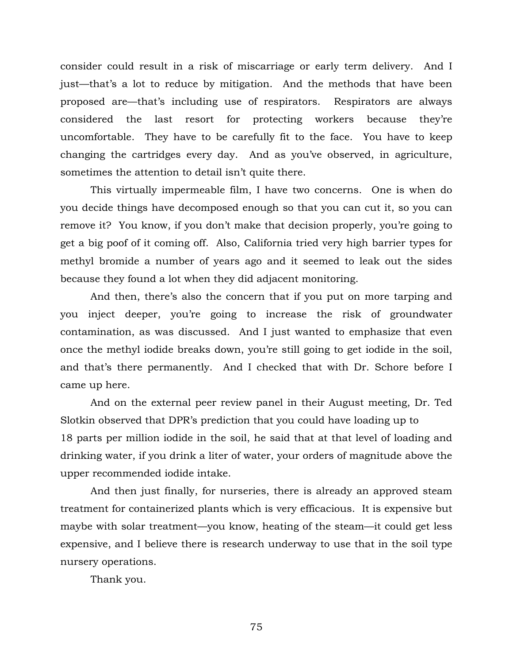consider could result in a risk of miscarriage or early term delivery. And I just—that's a lot to reduce by mitigation. And the methods that have been proposed are—that's including use of respirators. Respirators are always considered the last resort for protecting workers because they're uncomfortable. They have to be carefully fit to the face. You have to keep changing the cartridges every day. And as you've observed, in agriculture, sometimes the attention to detail isn't quite there.

This virtually impermeable film, I have two concerns. One is when do you decide things have decomposed enough so that you can cut it, so you can remove it? You know, if you don't make that decision properly, you're going to get a big poof of it coming off. Also, California tried very high barrier types for methyl bromide a number of years ago and it seemed to leak out the sides because they found a lot when they did adjacent monitoring.

And then, there's also the concern that if you put on more tarping and you inject deeper, you're going to increase the risk of groundwater contamination, as was discussed. And I just wanted to emphasize that even once the methyl iodide breaks down, you're still going to get iodide in the soil, and that's there permanently. And I checked that with Dr. Schore before I came up here.

And on the external peer review panel in their August meeting, Dr. Ted Slotkin observed that DPR's prediction that you could have loading up to 18 parts per million iodide in the soil, he said that at that level of loading and drinking water, if you drink a liter of water, your orders of magnitude above the upper recommended iodide intake.

And then just finally, for nurseries, there is already an approved steam treatment for containerized plants which is very efficacious. It is expensive but maybe with solar treatment—you know, heating of the steam—it could get less expensive, and I believe there is research underway to use that in the soil type nursery operations.

Thank you.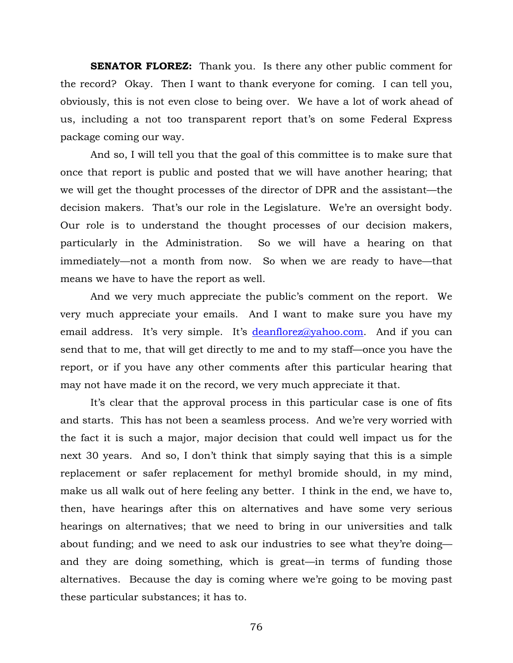**SENATOR FLOREZ:** Thank you. Is there any other public comment for the record? Okay. Then I want to thank everyone for coming. I can tell you, obviously, this is not even close to being over. We have a lot of work ahead of us, including a not too transparent report that's on some Federal Express package coming our way.

And so, I will tell you that the goal of this committee is to make sure that once that report is public and posted that we will have another hearing; that we will get the thought processes of the director of DPR and the assistant—the decision makers. That's our role in the Legislature. We're an oversight body. Our role is to understand the thought processes of our decision makers, particularly in the Administration. So we will have a hearing on that immediately—not a month from now. So when we are ready to have—that means we have to have the report as well.

And we very much appreciate the public's comment on the report. We very much appreciate your emails. And I want to make sure you have my email address. It's very simple. It's [deanflorez@yahoo.com.](mailto:deanflorez@yahoo.com) And if you can send that to me, that will get directly to me and to my staff—once you have the report, or if you have any other comments after this particular hearing that may not have made it on the record, we very much appreciate it that.

It's clear that the approval process in this particular case is one of fits and starts. This has not been a seamless process. And we're very worried with the fact it is such a major, major decision that could well impact us for the next 30 years. And so, I don't think that simply saying that this is a simple replacement or safer replacement for methyl bromide should, in my mind, make us all walk out of here feeling any better. I think in the end, we have to, then, have hearings after this on alternatives and have some very serious hearings on alternatives; that we need to bring in our universities and talk about funding; and we need to ask our industries to see what they're doing and they are doing something, which is great—in terms of funding those alternatives. Because the day is coming where we're going to be moving past these particular substances; it has to.